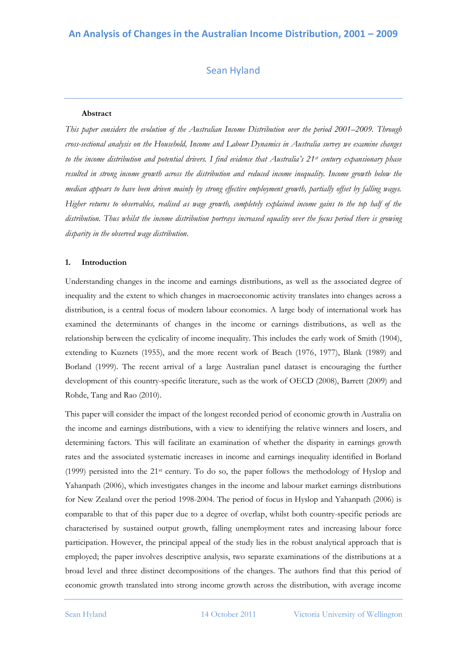# Sean Hyland

## **Abstract**

*This paper considers the evolution of the Australian Income Distribution over the period 2001–2009. Through cross-sectional analysis on the Household, Income and Labour Dynamics in Australia survey we examine changes to the income distribution and potential drivers. I find evidence that Australia's 21st century expansionary phase resulted in strong income growth across the distribution and reduced income inequality. Income growth below the median appears to have been driven mainly by strong effective employment growth, partially offset by falling wages. Higher returns to observables, realised as wage growth, completely explained income gains to the top half of the distribution. Thus whilst the income distribution portrays increased equality over the focus period there is growing disparity in the observed wage distribution.*

## **1. Introduction**

Understanding changes in the income and earnings distributions, as well as the associated degree of inequality and the extent to which changes in macroeconomic activity translates into changes across a distribution, is a central focus of modern labour economics. A large body of international work has examined the determinants of changes in the income or earnings distributions, as well as the relationship between the cyclicality of income inequality. This includes the early work of Smith (1904), extending to Kuznets (1955), and the more recent work of Beach (1976, 1977), Blank (1989) and Borland (1999). The recent arrival of a large Australian panel dataset is encouraging the further development of this country-specific literature, such as the work of OECD (2008), Barrett (2009) and Rohde, Tang and Rao (2010).

This paper will consider the impact of the longest recorded period of economic growth in Australia on the income and earnings distributions, with a view to identifying the relative winners and losers, and determining factors. This will facilitate an examination of whether the disparity in earnings growth rates and the associated systematic increases in income and earnings inequality identified in Borland (1999) persisted into the 21st century. To do so, the paper follows the methodology of Hyslop and Yahanpath (2006), which investigates changes in the income and labour market earnings distributions for New Zealand over the period 1998-2004. The period of focus in Hyslop and Yahanpath (2006) is comparable to that of this paper due to a degree of overlap, whilst both country-specific periods are characterised by sustained output growth, falling unemployment rates and increasing labour force participation. However, the principal appeal of the study lies in the robust analytical approach that is employed; the paper involves descriptive analysis, two separate examinations of the distributions at a broad level and three distinct decompositions of the changes. The authors find that this period of economic growth translated into strong income growth across the distribution, with average income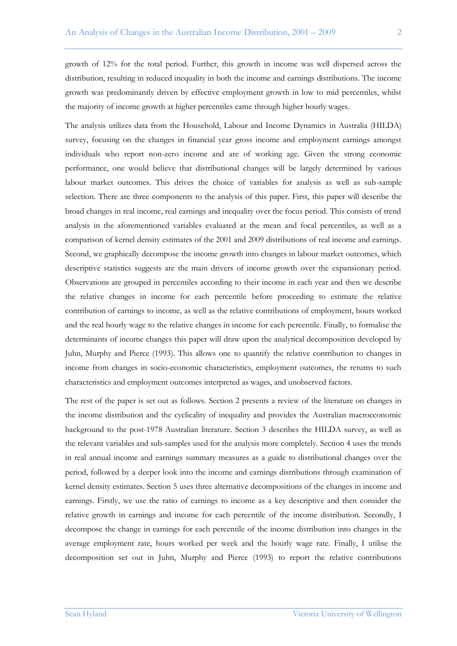growth of 12% for the total period. Further, this growth in income was well dispersed across the distribution, resulting in reduced inequality in both the income and earnings distributions. The income growth was predominantly driven by effective employment growth in low to mid percentiles, whilst the majority of income growth at higher percentiles came through higher hourly wages.

The analysis utilizes data from the Household, Labour and Income Dynamics in Australia (HILDA) survey, focusing on the changes in financial year gross income and employment earnings amongst individuals who report non-zero income and are of working age. Given the strong economic performance, one would believe that distributional changes will be largely determined by various labour market outcomes. This drives the choice of variables for analysis as well as sub-sample selection. There are three components to the analysis of this paper. First, this paper will describe the broad changes in real income, real earnings and inequality over the focus period. This consists of trend analysis in the aforementioned variables evaluated at the mean and focal percentiles, as well as a comparison of kernel density estimates of the 2001 and 2009 distributions of real income and earnings. Second, we graphically decompose the income growth into changes in labour market outcomes, which descriptive statistics suggests are the main drivers of income growth over the expansionary period. Observations are grouped in percentiles according to their income in each year and then we describe the relative changes in income for each percentile before proceeding to estimate the relative contribution of earnings to income, as well as the relative contributions of employment, hours worked and the real hourly wage to the relative changes in income for each percentile. Finally, to formalise the determinants of income changes this paper will draw upon the analytical decomposition developed by Juhn, Murphy and Pierce (1993). This allows one to quantify the relative contribution to changes in income from changes in socio-economic characteristics, employment outcomes, the returns to such characteristics and employment outcomes interpreted as wages, and unobserved factors.

The rest of the paper is set out as follows. Section 2 presents a review of the literature on changes in the income distribution and the cyclicality of inequality and provides the Australian macroeconomic background to the post-1978 Australian literature. Section 3 describes the HILDA survey, as well as the relevant variables and sub-samples used for the analysis more completely. Section 4 uses the trends in real annual income and earnings summary measures as a guide to distributional changes over the period, followed by a deeper look into the income and earnings distributions through examination of kernel density estimates. Section 5 uses three alternative decompositions of the changes in income and earnings. Firstly, we use the ratio of earnings to income as a key descriptive and then consider the relative growth in earnings and income for each percentile of the income distribution. Secondly, I decompose the change in earnings for each percentile of the income distribution into changes in the average employment rate, hours worked per week and the hourly wage rate. Finally, I utilise the decomposition set out in Juhn, Murphy and Pierce (1993) to report the relative contributions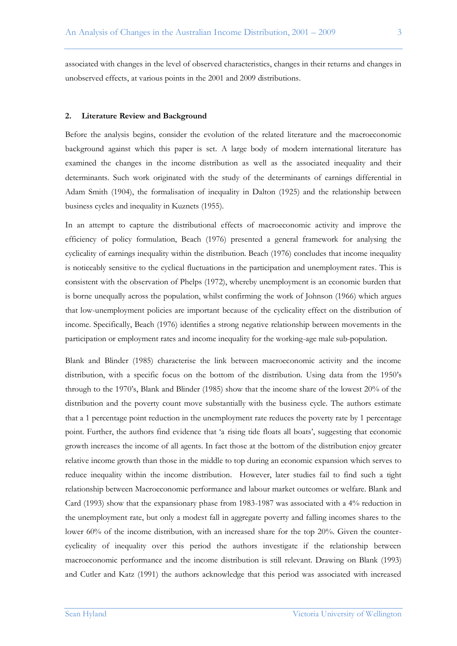associated with changes in the level of observed characteristics, changes in their returns and changes in unobserved effects, at various points in the 2001 and 2009 distributions.

#### **2. Literature Review and Background**

Before the analysis begins, consider the evolution of the related literature and the macroeconomic background against which this paper is set. A large body of modern international literature has examined the changes in the income distribution as well as the associated inequality and their determinants. Such work originated with the study of the determinants of earnings differential in Adam Smith (1904), the formalisation of inequality in Dalton (1925) and the relationship between business cycles and inequality in Kuznets (1955).

In an attempt to capture the distributional effects of macroeconomic activity and improve the efficiency of policy formulation, Beach (1976) presented a general framework for analysing the cyclicality of earnings inequality within the distribution. Beach (1976) concludes that income inequality is noticeably sensitive to the cyclical fluctuations in the participation and unemployment rates. This is consistent with the observation of Phelps (1972), whereby unemployment is an economic burden that is borne unequally across the population, whilst confirming the work of Johnson (1966) which argues that low-unemployment policies are important because of the cyclicality effect on the distribution of income. Specifically, Beach (1976) identifies a strong negative relationship between movements in the participation or employment rates and income inequality for the working-age male sub-population.

Blank and Blinder (1985) characterise the link between macroeconomic activity and the income distribution, with a specific focus on the bottom of the distribution. Using data from the 1950"s through to the 1970"s, Blank and Blinder (1985) show that the income share of the lowest 20% of the distribution and the poverty count move substantially with the business cycle. The authors estimate that a 1 percentage point reduction in the unemployment rate reduces the poverty rate by 1 percentage point. Further, the authors find evidence that 'a rising tide floats all boats', suggesting that economic growth increases the income of all agents. In fact those at the bottom of the distribution enjoy greater relative income growth than those in the middle to top during an economic expansion which serves to reduce inequality within the income distribution. However, later studies fail to find such a tight relationship between Macroeconomic performance and labour market outcomes or welfare. Blank and Card (1993) show that the expansionary phase from 1983-1987 was associated with a 4% reduction in the unemployment rate, but only a modest fall in aggregate poverty and falling incomes shares to the lower 60% of the income distribution, with an increased share for the top 20%. Given the countercyclicality of inequality over this period the authors investigate if the relationship between macroeconomic performance and the income distribution is still relevant. Drawing on Blank (1993) and Cutler and Katz (1991) the authors acknowledge that this period was associated with increased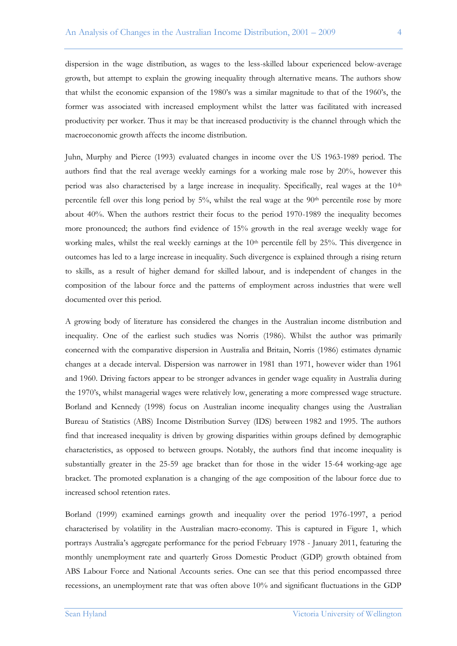dispersion in the wage distribution, as wages to the less-skilled labour experienced below-average growth, but attempt to explain the growing inequality through alternative means. The authors show that whilst the economic expansion of the 1980"s was a similar magnitude to that of the 1960"s, the former was associated with increased employment whilst the latter was facilitated with increased productivity per worker. Thus it may be that increased productivity is the channel through which the macroeconomic growth affects the income distribution.

Juhn, Murphy and Pierce (1993) evaluated changes in income over the US 1963-1989 period. The authors find that the real average weekly earnings for a working male rose by 20%, however this period was also characterised by a large increase in inequality. Specifically, real wages at the 10<sup>th</sup> percentile fell over this long period by  $5\%$ , whilst the real wage at the  $90<sup>th</sup>$  percentile rose by more about 40%. When the authors restrict their focus to the period 1970-1989 the inequality becomes more pronounced; the authors find evidence of 15% growth in the real average weekly wage for working males, whilst the real weekly earnings at the 10<sup>th</sup> percentile fell by 25%. This divergence in outcomes has led to a large increase in inequality. Such divergence is explained through a rising return to skills, as a result of higher demand for skilled labour, and is independent of changes in the composition of the labour force and the patterns of employment across industries that were well documented over this period.

A growing body of literature has considered the changes in the Australian income distribution and inequality. One of the earliest such studies was Norris (1986). Whilst the author was primarily concerned with the comparative dispersion in Australia and Britain, Norris (1986) estimates dynamic changes at a decade interval. Dispersion was narrower in 1981 than 1971, however wider than 1961 and 1960. Driving factors appear to be stronger advances in gender wage equality in Australia during the 1970"s, whilst managerial wages were relatively low, generating a more compressed wage structure. Borland and Kennedy (1998) focus on Australian income inequality changes using the Australian Bureau of Statistics (ABS) Income Distribution Survey (IDS) between 1982 and 1995. The authors find that increased inequality is driven by growing disparities within groups defined by demographic characteristics, as opposed to between groups. Notably, the authors find that income inequality is substantially greater in the 25-59 age bracket than for those in the wider 15-64 working-age age bracket. The promoted explanation is a changing of the age composition of the labour force due to increased school retention rates.

Borland (1999) examined earnings growth and inequality over the period 1976-1997, a period characterised by volatility in the Australian macro-economy. This is captured in Figure 1, which portrays Australia"s aggregate performance for the period February 1978 - January 2011, featuring the monthly unemployment rate and quarterly Gross Domestic Product (GDP) growth obtained from ABS Labour Force and National Accounts series. One can see that this period encompassed three recessions, an unemployment rate that was often above 10% and significant fluctuations in the GDP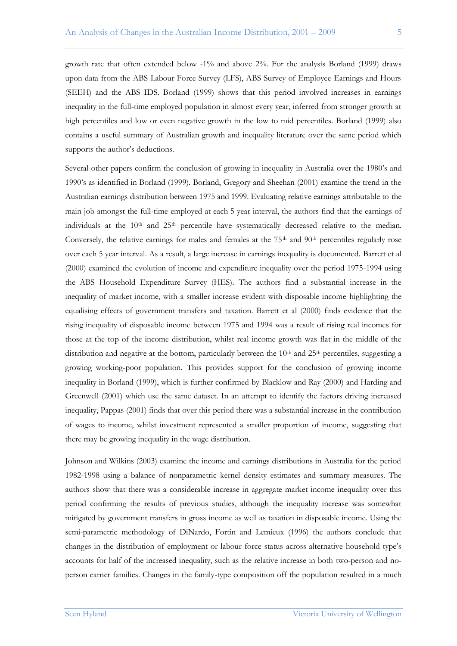growth rate that often extended below -1% and above 2%. For the analysis Borland (1999) draws upon data from the ABS Labour Force Survey (LFS), ABS Survey of Employee Earnings and Hours (SEEH) and the ABS IDS. Borland (1999) shows that this period involved increases in earnings inequality in the full-time employed population in almost every year, inferred from stronger growth at high percentiles and low or even negative growth in the low to mid percentiles. Borland (1999) also contains a useful summary of Australian growth and inequality literature over the same period which supports the author's deductions.

Several other papers confirm the conclusion of growing in inequality in Australia over the 1980"s and 1990"s as identified in Borland (1999). Borland, Gregory and Sheehan (2001) examine the trend in the Australian earnings distribution between 1975 and 1999. Evaluating relative earnings attributable to the main job amongst the full-time employed at each 5 year interval, the authors find that the earnings of individuals at the  $10<sup>th</sup>$  and  $25<sup>th</sup>$  percentile have systematically decreased relative to the median. Conversely, the relative earnings for males and females at the  $75<sup>th</sup>$  and  $90<sup>th</sup>$  percentiles regularly rose over each 5 year interval. As a result, a large increase in earnings inequality is documented. Barrett et al (2000) examined the evolution of income and expenditure inequality over the period 1975-1994 using the ABS Household Expenditure Survey (HES). The authors find a substantial increase in the inequality of market income, with a smaller increase evident with disposable income highlighting the equalising effects of government transfers and taxation. Barrett et al (2000) finds evidence that the rising inequality of disposable income between 1975 and 1994 was a result of rising real incomes for those at the top of the income distribution, whilst real income growth was flat in the middle of the distribution and negative at the bottom, particularly between the 10<sup>th</sup> and 25<sup>th</sup> percentiles, suggesting a growing working-poor population. This provides support for the conclusion of growing income inequality in Borland (1999), which is further confirmed by Blacklow and Ray (2000) and Harding and Greenwell (2001) which use the same dataset. In an attempt to identify the factors driving increased inequality, Pappas (2001) finds that over this period there was a substantial increase in the contribution of wages to income, whilst investment represented a smaller proportion of income, suggesting that there may be growing inequality in the wage distribution.

Johnson and Wilkins (2003) examine the income and earnings distributions in Australia for the period 1982-1998 using a balance of nonparametric kernel density estimates and summary measures. The authors show that there was a considerable increase in aggregate market income inequality over this period confirming the results of previous studies, although the inequality increase was somewhat mitigated by government transfers in gross income as well as taxation in disposable income. Using the semi-parametric methodology of DiNardo, Fortin and Lemieux (1996) the authors conclude that changes in the distribution of employment or labour force status across alternative household type"s accounts for half of the increased inequality, such as the relative increase in both two-person and noperson earner families. Changes in the family-type composition off the population resulted in a much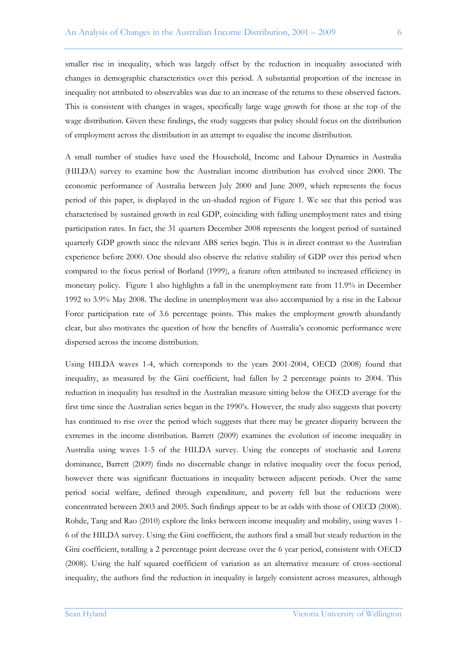smaller rise in inequality, which was largely offset by the reduction in inequality associated with changes in demographic characteristics over this period. A substantial proportion of the increase in inequality not attributed to observables was due to an increase of the returns to these observed factors. This is consistent with changes in wages, specifically large wage growth for those at the top of the wage distribution. Given these findings, the study suggests that policy should focus on the distribution of employment across the distribution in an attempt to equalise the income distribution.

A small number of studies have used the Household, Income and Labour Dynamics in Australia (HILDA) survey to examine how the Australian income distribution has evolved since 2000. The economic performance of Australia between July 2000 and June 2009, which represents the focus period of this paper, is displayed in the un-shaded region of Figure 1. We see that this period was characterised by sustained growth in real GDP, coinciding with falling unemployment rates and rising participation rates. In fact, the 31 quarters December 2008 represents the longest period of sustained quarterly GDP growth since the relevant ABS series begin. This is in direct contrast to the Australian experience before 2000. One should also observe the relative stability of GDP over this period when compared to the focus period of Borland (1999), a feature often attributed to increased efficiency in monetary policy. Figure 1 also highlights a fall in the unemployment rate from 11.9% in December 1992 to 3.9% May 2008. The decline in unemployment was also accompanied by a rise in the Labour Force participation rate of 3.6 percentage points. This makes the employment growth abundantly clear, but also motivates the question of how the benefits of Australia"s economic performance were dispersed across the income distribution.

Using HILDA waves 1-4, which corresponds to the years 2001-2004, OECD (2008) found that inequality, as measured by the Gini coefficient, had fallen by 2 percentage points to 2004. This reduction in inequality has resulted in the Australian measure sitting below the OECD average for the first time since the Australian series began in the 1990"s. However, the study also suggests that poverty has continued to rise over the period which suggests that there may be greater disparity between the extremes in the income distribution. Barrett (2009) examines the evolution of income inequality in Australia using waves 1-5 of the HILDA survey. Using the concepts of stochastic and Lorenz dominance, Barrett (2009) finds no discernable change in relative inequality over the focus period, however there was significant fluctuations in inequality between adjacent periods. Over the same period social welfare, defined through expenditure, and poverty fell but the reductions were concentrated between 2003 and 2005. Such findings appear to be at odds with those of OECD (2008). Rohde, Tang and Rao (2010) explore the links between income inequality and mobility, using waves 1- 6 of the HILDA survey. Using the Gini coefficient, the authors find a small but steady reduction in the Gini coefficient, totalling a 2 percentage point decrease over the 6 year period, consistent with OECD (2008). Using the half squared coefficient of variation as an alternative measure of cross-sectional inequality, the authors find the reduction in inequality is largely consistent across measures, although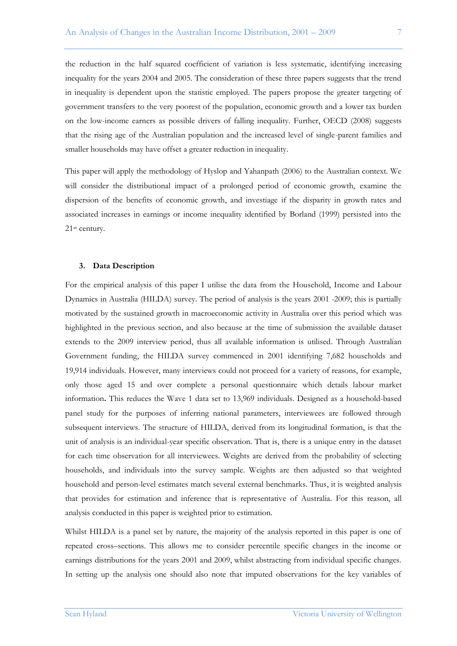the reduction in the half squared coefficient of variation is less systematic, identifying increasing inequality for the years 2004 and 2005. The consideration of these three papers suggests that the trend in inequality is dependent upon the statistic employed. The papers propose the greater targeting of government transfers to the very poorest of the population, economic growth and a lower tax burden on the low-income earners as possible drivers of falling inequality. Further, OECD (2008) suggests that the rising age of the Australian population and the increased level of single-parent families and smaller households may have offset a greater reduction in inequality.

This paper will apply the methodology of Hyslop and Yahanpath (2006) to the Australian context. We will consider the distributional impact of a prolonged period of economic growth, examine the dispersion of the benefits of economic growth, and investiage if the disparity in growth rates and associated increases in earnings or income inequality identified by Borland (1999) persisted into the 21st century.

#### **3. Data Description**

For the empirical analysis of this paper I utilise the data from the Household, Income and Labour Dynamics in Australia (HILDA) survey. The period of analysis is the years 2001 -2009; this is partially motivated by the sustained growth in macroeconomic activity in Australia over this period which was highlighted in the previous section, and also because at the time of submission the available dataset extends to the 2009 interview period, thus all available information is utilised. Through Australian Government funding, the HILDA survey commenced in 2001 identifying 7,682 households and 19,914 individuals. However, many interviews could not proceed for a variety of reasons, for example, only those aged 15 and over complete a personal questionnaire which details labour market information**.** This reduces the Wave 1 data set to 13,969 individuals. Designed as a household-based panel study for the purposes of inferring national parameters, interviewees are followed through subsequent interviews. The structure of HILDA, derived from its longitudinal formation, is that the unit of analysis is an individual-year specific observation. That is, there is a unique entry in the dataset for each time observation for all interviewees. Weights are derived from the probability of selecting households, and individuals into the survey sample. Weights are then adjusted so that weighted household and person-level estimates match several external benchmarks. Thus, it is weighted analysis that provides for estimation and inference that is representative of Australia. For this reason, all analysis conducted in this paper is weighted prior to estimation.

Whilst HILDA is a panel set by nature, the majority of the analysis reported in this paper is one of repeated cross–sections. This allows me to consider percentile specific changes in the income or earnings distributions for the years 2001 and 2009, whilst abstracting from individual specific changes. In setting up the analysis one should also note that imputed observations for the key variables of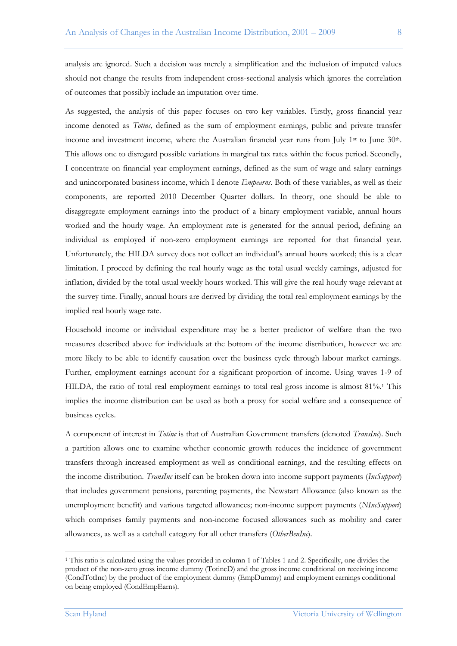analysis are ignored. Such a decision was merely a simplification and the inclusion of imputed values should not change the results from independent cross-sectional analysis which ignores the correlation of outcomes that possibly include an imputation over time.

As suggested, the analysis of this paper focuses on two key variables. Firstly, gross financial year income denoted as *Totinc,* defined as the sum of employment earnings, public and private transfer income and investment income, where the Australian financial year runs from July 1<sup>st</sup> to June 30<sup>th</sup>. This allows one to disregard possible variations in marginal tax rates within the focus period. Secondly, I concentrate on financial year employment earnings, defined as the sum of wage and salary earnings and unincorporated business income, which I denote *Empearns*. Both of these variables, as well as their components, are reported 2010 December Quarter dollars. In theory, one should be able to disaggregate employment earnings into the product of a binary employment variable, annual hours worked and the hourly wage. An employment rate is generated for the annual period, defining an individual as employed if non-zero employment earnings are reported for that financial year. Unfortunately, the HILDA survey does not collect an individual"s annual hours worked; this is a clear limitation. I proceed by defining the real hourly wage as the total usual weekly earnings, adjusted for inflation, divided by the total usual weekly hours worked. This will give the real hourly wage relevant at the survey time. Finally, annual hours are derived by dividing the total real employment earnings by the implied real hourly wage rate.

Household income or individual expenditure may be a better predictor of welfare than the two measures described above for individuals at the bottom of the income distribution, however we are more likely to be able to identify causation over the business cycle through labour market earnings. Further, employment earnings account for a significant proportion of income. Using waves 1-9 of HILDA, the ratio of total real employment earnings to total real gross income is almost 81%.<sup>1</sup> This implies the income distribution can be used as both a proxy for social welfare and a consequence of business cycles.

A component of interest in *Totinc* is that of Australian Government transfers (denoted *TransInc*). Such a partition allows one to examine whether economic growth reduces the incidence of government transfers through increased employment as well as conditional earnings, and the resulting effects on the income distribution. *TransInc* itself can be broken down into income support payments (*IncSupport*) that includes government pensions, parenting payments, the Newstart Allowance (also known as the unemployment benefit) and various targeted allowances; non-income support payments (*NIncSupport*) which comprises family payments and non-income focused allowances such as mobility and carer allowances, as well as a catchall category for all other transfers (*OtherBenInc*).

 $\overline{a}$ 

<sup>1</sup> This ratio is calculated using the values provided in column 1 of Tables 1 and 2. Specifically, one divides the product of the non-zero gross income dummy (TotincD) and the gross income conditional on receiving income (CondTotInc) by the product of the employment dummy (EmpDummy) and employment earnings conditional on being employed (CondEmpEarns).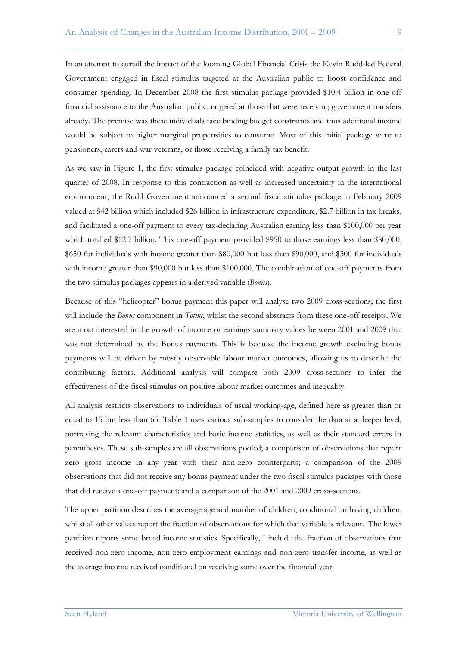In an attempt to curtail the impact of the looming Global Financial Crisis the Kevin Rudd-led Federal Government engaged in fiscal stimulus targeted at the Australian public to boost confidence and consumer spending. In December 2008 the first stimulus package provided \$10.4 billion in one-off financial assistance to the Australian public, targeted at those that were receiving government transfers already. The premise was these individuals face binding budget constraints and thus additional income would be subject to higher marginal propensities to consume. Most of this initial package went to pensioners, carers and war veterans, or those receiving a family tax benefit.

As we saw in Figure 1, the first stimulus package coincided with negative output growth in the last quarter of 2008. In response to this contraction as well as increased uncertainty in the international environment, the Rudd Government announced a second fiscal stimulus package in February 2009 valued at \$42 billion which included \$26 billion in infrastructure expenditure, \$2.7 billion in tax breaks, and facilitated a one-off payment to every tax-declaring Australian earning less than \$100,000 per year which totalled \$12.7 billion. This one-off payment provided \$950 to those earnings less than \$80,000, \$650 for individuals with income greater than \$80,000 but less than \$90,000, and \$300 for individuals with income greater than \$90,000 but less than \$100,000. The combination of one-off payments from the two stimulus packages appears in a derived variable (*Bonus*).

Because of this "helicopter" bonus payment this paper will analyse two 2009 cross-sections; the first will include the *Bonus* component in *Totinc*, whilst the second abstracts from these one-off receipts. We are most interested in the growth of income or earnings summary values between 2001 and 2009 that was not determined by the Bonus payments. This is because the income growth excluding bonus payments will be driven by mostly observable labour market outcomes, allowing us to describe the contributing factors. Additional analysis will compare both 2009 cross-sections to infer the effectiveness of the fiscal stimulus on positive labour market outcomes and inequality.

All analysis restricts observations to individuals of usual working-age, defined here as greater than or equal to 15 but less than 65. Table 1 uses various sub-samples to consider the data at a deeper level, portraying the relevant characteristics and basic income statistics, as well as their standard errors in parentheses. These sub-samples are all observations pooled; a comparison of observations that report zero gross income in any year with their non-zero counterparts; a comparison of the 2009 observations that did not receive any bonus payment under the two fiscal stimulus packages with those that did receive a one-off payment; and a comparison of the 2001 and 2009 cross-sections.

The upper partition describes the average age and number of children, conditional on having children, whilst all other values report the fraction of observations for which that variable is relevant. The lower partition reports some broad income statistics. Specifically, I include the fraction of observations that received non-zero income, non-zero employment earnings and non-zero transfer income, as well as the average income received conditional on receiving some over the financial year.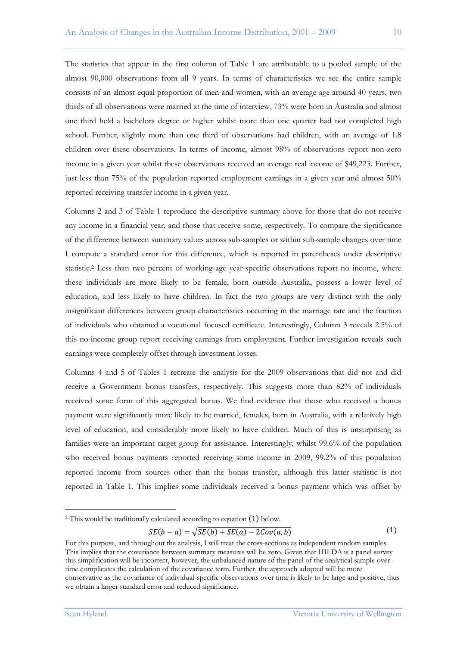The statistics that appear in the first column of Table 1 are attributable to a pooled sample of the almost 90,000 observations from all 9 years. In terms of characteristics we see the entire sample consists of an almost equal proportion of men and women, with an average age around 40 years, two thirds of all observations were married at the time of interview, 73% were born in Australia and almost one third held a bachelors degree or higher whilst more than one quarter had not completed high school. Further, slightly more than one third of observations had children, with an average of 1.8 children over these observations. In terms of income, almost 98% of observations report non-zero income in a given year whilst these observations received an average real income of \$49,223. Further, just less than 75% of the population reported employment earnings in a given year and almost 50% reported receiving transfer income in a given year.

Columns 2 and 3 of Table 1 reproduce the descriptive summary above for those that do not receive any income in a financial year, and those that receive some, respectively. To compare the significance of the difference between summary values across sub-samples or within sub-sample changes over time I compute a standard error for this difference, which is reported in parentheses under descriptive statistic. <sup>2</sup> Less than two percent of working-age year-specific observations report no income, where these individuals are more likely to be female, born outside Australia, possess a lower level of education, and less likely to have children. In fact the two groups are very distinct with the only insignificant differences between group characteristics occurring in the marriage rate and the fraction of individuals who obtained a vocational focused certificate. Interestingly, Column 3 reveals 2.5% of this no-income group report receiving earnings from employment. Further investigation reveals such earnings were completely offset through investment losses.

Columns 4 and 5 of Tables 1 recreate the analysis for the 2009 observations that did not and did receive a Government bonus transfers, respectively. This suggests more than 82% of individuals received some form of this aggregated bonus. We find evidence that those who received a bonus payment were significantly more likely to be married, females, born in Australia, with a relatively high level of education, and considerably more likely to have children. Much of this is unsurprising as families were an important target group for assistance. Interestingly, whilst 99.6% of the population who received bonus payments reported receiving some income in 2009, 99.2% of this population reported income from sources other than the bonus transfer, although this latter statistic is not reported in Table 1. This implies some individuals received a bonus payment which was offset by

$$
SE(b-a) = \sqrt{SE(b) + SE(a) - 2Cov(a,b)}
$$
 (1)

 $\overline{a}$ 

 $2$  This would be traditionally calculated according to equation  $(1)$  below.

For this purpose, and throughout the analysis, I will treat the cross-sections as independent random samples. This implies that the covariance between summary measures will be zero. Given that HILDA is a panel survey this simplification will be incorrect, however, the unbalanced nature of the panel of the analytical sample over time complicates the calculation of the covariance term. Further, the approach adopted will be more conservative as the covariance of individual-specific observations over time is likely to be large and positive, thus we obtain a larger standard error and reduced significance.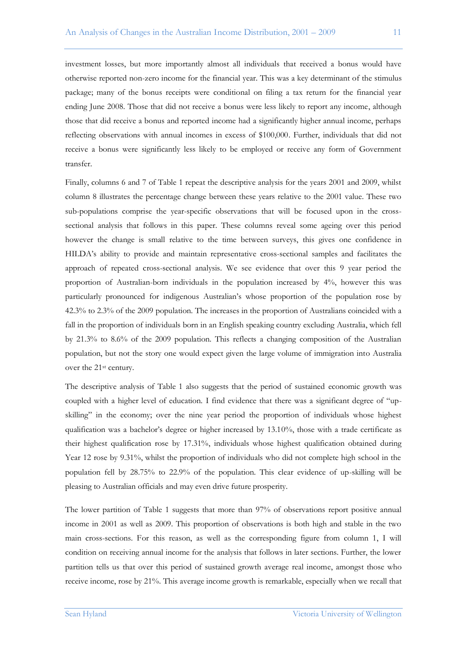investment losses, but more importantly almost all individuals that received a bonus would have otherwise reported non-zero income for the financial year. This was a key determinant of the stimulus package; many of the bonus receipts were conditional on filing a tax return for the financial year ending June 2008. Those that did not receive a bonus were less likely to report any income, although those that did receive a bonus and reported income had a significantly higher annual income, perhaps reflecting observations with annual incomes in excess of \$100,000. Further, individuals that did not receive a bonus were significantly less likely to be employed or receive any form of Government transfer.

Finally, columns 6 and 7 of Table 1 repeat the descriptive analysis for the years 2001 and 2009, whilst column 8 illustrates the percentage change between these years relative to the 2001 value. These two sub-populations comprise the year-specific observations that will be focused upon in the crosssectional analysis that follows in this paper. These columns reveal some ageing over this period however the change is small relative to the time between surveys, this gives one confidence in HILDA"s ability to provide and maintain representative cross-sectional samples and facilitates the approach of repeated cross-sectional analysis. We see evidence that over this 9 year period the proportion of Australian-born individuals in the population increased by 4%, however this was particularly pronounced for indigenous Australian"s whose proportion of the population rose by 42.3% to 2.3% of the 2009 population. The increases in the proportion of Australians coincided with a fall in the proportion of individuals born in an English speaking country excluding Australia, which fell by 21.3% to 8.6% of the 2009 population. This reflects a changing composition of the Australian population, but not the story one would expect given the large volume of immigration into Australia over the 21st century.

The descriptive analysis of Table 1 also suggests that the period of sustained economic growth was coupled with a higher level of education. I find evidence that there was a significant degree of "upskilling" in the economy; over the nine year period the proportion of individuals whose highest qualification was a bachelor"s degree or higher increased by 13.10%, those with a trade certificate as their highest qualification rose by 17.31%, individuals whose highest qualification obtained during Year 12 rose by 9.31%, whilst the proportion of individuals who did not complete high school in the population fell by 28.75% to 22.9% of the population. This clear evidence of up-skilling will be pleasing to Australian officials and may even drive future prosperity.

The lower partition of Table 1 suggests that more than 97% of observations report positive annual income in 2001 as well as 2009. This proportion of observations is both high and stable in the two main cross-sections. For this reason, as well as the corresponding figure from column 1, I will condition on receiving annual income for the analysis that follows in later sections. Further, the lower partition tells us that over this period of sustained growth average real income, amongst those who receive income, rose by 21%. This average income growth is remarkable, especially when we recall that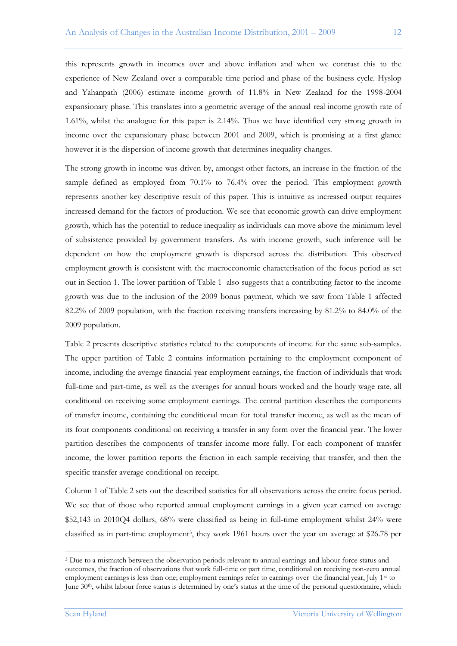this represents growth in incomes over and above inflation and when we contrast this to the experience of New Zealand over a comparable time period and phase of the business cycle. Hyslop and Yahanpath (2006) estimate income growth of 11.8% in New Zealand for the 1998-2004 expansionary phase. This translates into a geometric average of the annual real income growth rate of 1.61%, whilst the analogue for this paper is 2.14%. Thus we have identified very strong growth in income over the expansionary phase between 2001 and 2009, which is promising at a first glance however it is the dispersion of income growth that determines inequality changes.

The strong growth in income was driven by, amongst other factors, an increase in the fraction of the sample defined as employed from 70.1% to 76.4% over the period. This employment growth represents another key descriptive result of this paper. This is intuitive as increased output requires increased demand for the factors of production. We see that economic growth can drive employment growth, which has the potential to reduce inequality as individuals can move above the minimum level of subsistence provided by government transfers. As with income growth, such inference will be dependent on how the employment growth is dispersed across the distribution. This observed employment growth is consistent with the macroeconomic characterisation of the focus period as set out in Section 1. The lower partition of Table 1 also suggests that a contributing factor to the income growth was due to the inclusion of the 2009 bonus payment, which we saw from Table 1 affected 82.2% of 2009 population, with the fraction receiving transfers increasing by 81.2% to 84.0% of the 2009 population.

Table 2 presents descriptive statistics related to the components of income for the same sub-samples. The upper partition of Table 2 contains information pertaining to the employment component of income, including the average financial year employment earnings, the fraction of individuals that work full-time and part-time, as well as the averages for annual hours worked and the hourly wage rate, all conditional on receiving some employment earnings. The central partition describes the components of transfer income, containing the conditional mean for total transfer income, as well as the mean of its four components conditional on receiving a transfer in any form over the financial year. The lower partition describes the components of transfer income more fully. For each component of transfer income, the lower partition reports the fraction in each sample receiving that transfer, and then the specific transfer average conditional on receipt.

Column 1 of Table 2 sets out the described statistics for all observations across the entire focus period. We see that of those who reported annual employment earnings in a given year earned on average \$52,143 in 2010Q4 dollars, 68% were classified as being in full-time employment whilst 24% were classified as in part-time employment3, they work 1961 hours over the year on average at \$26.78 per

 $\overline{a}$ 

<sup>&</sup>lt;sup>3</sup> Due to a mismatch between the observation periods relevant to annual earnings and labour force status and outcomes, the fraction of observations that work full-time or part time, conditional on receiving non-zero annual employment earnings is less than one; employment earnings refer to earnings over the financial year, July 1<sup>st</sup> to June 30th, whilst labour force status is determined by one"s status at the time of the personal questionnaire, which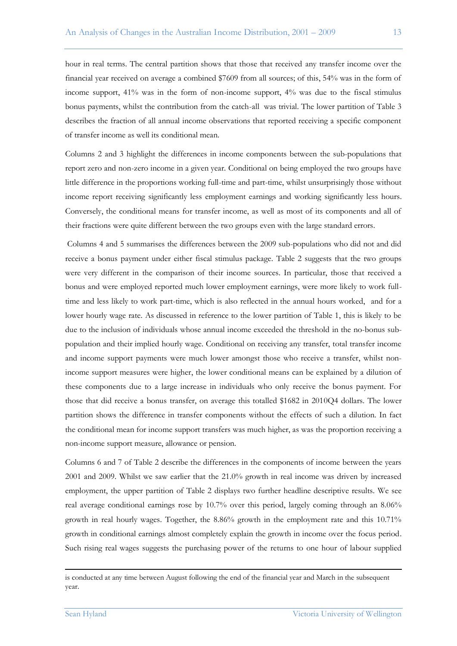hour in real terms. The central partition shows that those that received any transfer income over the financial year received on average a combined \$7609 from all sources; of this, 54% was in the form of income support, 41% was in the form of non-income support, 4% was due to the fiscal stimulus bonus payments, whilst the contribution from the catch-all was trivial. The lower partition of Table 3 describes the fraction of all annual income observations that reported receiving a specific component of transfer income as well its conditional mean.

Columns 2 and 3 highlight the differences in income components between the sub-populations that report zero and non-zero income in a given year. Conditional on being employed the two groups have little difference in the proportions working full-time and part-time, whilst unsurprisingly those without income report receiving significantly less employment earnings and working significantly less hours. Conversely, the conditional means for transfer income, as well as most of its components and all of their fractions were quite different between the two groups even with the large standard errors.

Columns 4 and 5 summarises the differences between the 2009 sub-populations who did not and did receive a bonus payment under either fiscal stimulus package. Table 2 suggests that the two groups were very different in the comparison of their income sources. In particular, those that received a bonus and were employed reported much lower employment earnings, were more likely to work fulltime and less likely to work part-time, which is also reflected in the annual hours worked, and for a lower hourly wage rate. As discussed in reference to the lower partition of Table 1, this is likely to be due to the inclusion of individuals whose annual income exceeded the threshold in the no-bonus subpopulation and their implied hourly wage. Conditional on receiving any transfer, total transfer income and income support payments were much lower amongst those who receive a transfer, whilst nonincome support measures were higher, the lower conditional means can be explained by a dilution of these components due to a large increase in individuals who only receive the bonus payment. For those that did receive a bonus transfer, on average this totalled \$1682 in 2010Q4 dollars. The lower partition shows the difference in transfer components without the effects of such a dilution. In fact the conditional mean for income support transfers was much higher, as was the proportion receiving a non-income support measure, allowance or pension.

Columns 6 and 7 of Table 2 describe the differences in the components of income between the years 2001 and 2009. Whilst we saw earlier that the 21.0% growth in real income was driven by increased employment, the upper partition of Table 2 displays two further headline descriptive results. We see real average conditional earnings rose by 10.7% over this period, largely coming through an 8.06% growth in real hourly wages. Together, the 8.86% growth in the employment rate and this 10.71% growth in conditional earnings almost completely explain the growth in income over the focus period. Such rising real wages suggests the purchasing power of the returns to one hour of labour supplied

1

is conducted at any time between August following the end of the financial year and March in the subsequent year.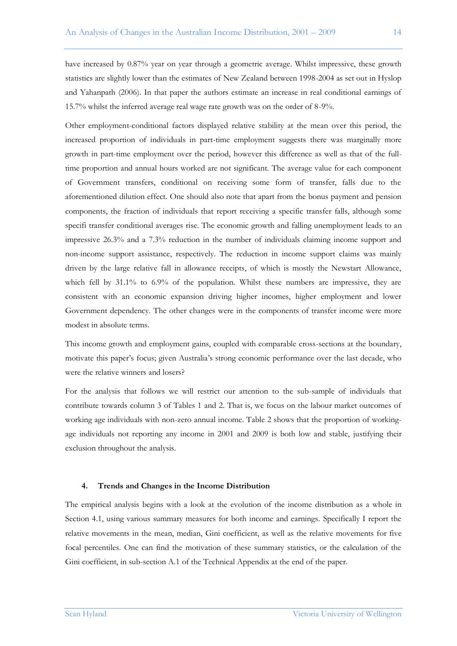have increased by 0.87% year on year through a geometric average. Whilst impressive, these growth statistics are slightly lower than the estimates of New Zealand between 1998-2004 as set out in Hyslop and Yahanpath (2006). In that paper the authors estimate an increase in real conditional earnings of 15.7% whilst the inferred average real wage rate growth was on the order of 8-9%.

Other employment-conditional factors displayed relative stability at the mean over this period, the increased proportion of individuals in part-time employment suggests there was marginally more growth in part-time employment over the period, however this difference as well as that of the fulltime proportion and annual hours worked are not significant. The average value for each component of Government transfers, conditional on receiving some form of transfer, falls due to the aforementioned dilution effect. One should also note that apart from the bonus payment and pension components, the fraction of individuals that report receiving a specific transfer falls, although some specifi transfer conditional averages rise. The economic growth and falling unemployment leads to an impressive 26.3% and a 7.3% reduction in the number of individuals claiming income support and non-income support assistance, respectively. The reduction in income support claims was mainly driven by the large relative fall in allowance receipts, of which is mostly the Newstart Allowance, which fell by 31.1% to 6.9% of the population. Whilst these numbers are impressive, they are consistent with an economic expansion driving higher incomes, higher employment and lower Government dependency. The other changes were in the components of transfer income were more modest in absolute terms.

This income growth and employment gains, coupled with comparable cross-sections at the boundary, motivate this paper"s focus; given Australia"s strong economic performance over the last decade, who were the relative winners and losers?

For the analysis that follows we will restrict our attention to the sub-sample of individuals that contribute towards column 3 of Tables 1 and 2. That is, we focus on the labour market outcomes of working age individuals with non-zero annual income. Table 2 shows that the proportion of workingage individuals not reporting any income in 2001 and 2009 is both low and stable, justifying their exclusion throughout the analysis.

#### **4. Trends and Changes in the Income Distribution**

The empirical analysis begins with a look at the evolution of the income distribution as a whole in Section 4.1, using various summary measures for both income and earnings. Specifically I report the relative movements in the mean, median, Gini coefficient, as well as the relative movements for five focal percentiles. One can find the motivation of these summary statistics, or the calculation of the Gini coefficient, in sub-section A.1 of the Technical Appendix at the end of the paper.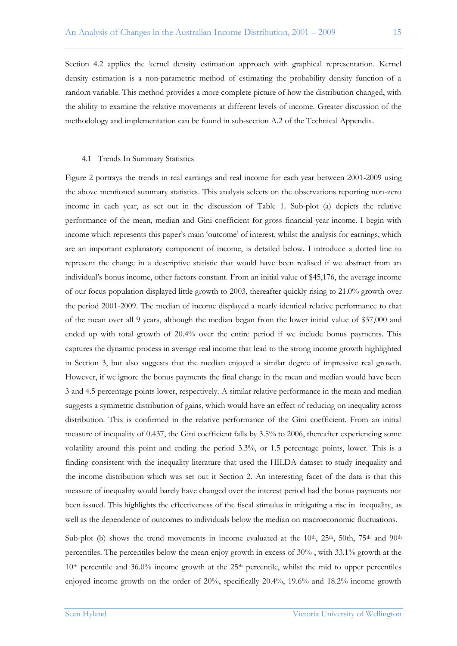Section 4.2 applies the kernel density estimation approach with graphical representation. Kernel density estimation is a non-parametric method of estimating the probability density function of a random variable. This method provides a more complete picture of how the distribution changed, with the ability to examine the relative movements at different levels of income. Greater discussion of the methodology and implementation can be found in sub-section A.2 of the Technical Appendix.

#### 4.1 Trends In Summary Statistics

Figure 2 portrays the trends in real earnings and real income for each year between 2001-2009 using the above mentioned summary statistics. This analysis selects on the observations reporting non-zero income in each year, as set out in the discussion of Table 1. Sub-plot (a) depicts the relative performance of the mean, median and Gini coefficient for gross financial year income. I begin with income which represents this paper"s main "outcome" of interest, whilst the analysis for earnings, which are an important explanatory component of income, is detailed below. I introduce a dotted line to represent the change in a descriptive statistic that would have been realised if we abstract from an individual"s bonus income, other factors constant. From an initial value of \$45,176, the average income of our focus population displayed little growth to 2003, thereafter quickly rising to 21.0% growth over the period 2001-2009. The median of income displayed a nearly identical relative performance to that of the mean over all 9 years, although the median began from the lower initial value of \$37,000 and ended up with total growth of 20.4% over the entire period if we include bonus payments. This captures the dynamic process in average real income that lead to the strong income growth highlighted in Section 3, but also suggests that the median enjoyed a similar degree of impressive real growth. However, if we ignore the bonus payments the final change in the mean and median would have been 3 and 4.5 percentage points lower, respectively. A similar relative performance in the mean and median suggests a symmetric distribution of gains, which would have an effect of reducing on inequality across distribution. This is confirmed in the relative performance of the Gini coefficient. From an initial measure of inequality of 0.437, the Gini coefficient falls by 3.5% to 2006, thereafter experiencing some volatility around this point and ending the period 3.3%, or 1.5 percentage points, lower. This is a finding consistent with the inequality literature that used the HILDA dataset to study inequality and the income distribution which was set out it Section 2. An interesting facet of the data is that this measure of inequality would barely have changed over the interest period had the bonus payments not been issued. This highlights the effectiveness of the fiscal stimulus in mitigating a rise in inequality, as well as the dependence of outcomes to individuals below the median on macroeconomic fluctuations.

Sub-plot (b) shows the trend movements in income evaluated at the  $10<sup>th</sup>$ ,  $25<sup>th</sup>$ ,  $50th$ ,  $75<sup>th</sup>$  and  $90<sup>th</sup>$ percentiles. The percentiles below the mean enjoy growth in excess of 30% , with 33.1% growth at the  $10<sup>th</sup>$  percentile and 36.0% income growth at the  $25<sup>th</sup>$  percentile, whilst the mid to upper percentiles enjoyed income growth on the order of 20%, specifically 20.4%, 19.6% and 18.2% income growth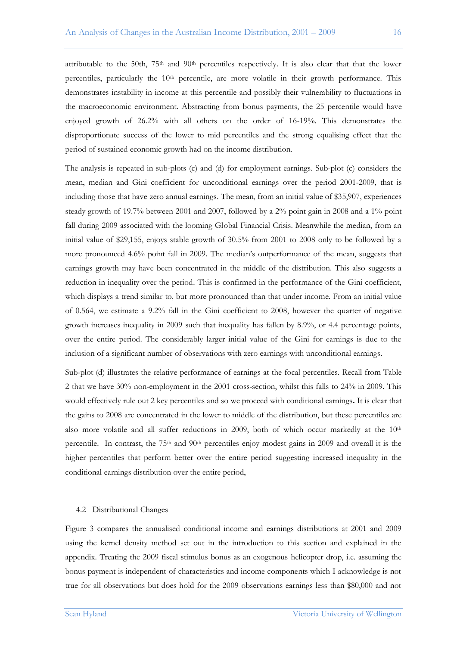attributable to the 50th,  $75<sup>th</sup>$  and  $90<sup>th</sup>$  percentiles respectively. It is also clear that that the lower percentiles, particularly the 10<sup>th</sup> percentile, are more volatile in their growth performance. This demonstrates instability in income at this percentile and possibly their vulnerability to fluctuations in the macroeconomic environment. Abstracting from bonus payments, the 25 percentile would have enjoyed growth of 26.2% with all others on the order of 16-19%. This demonstrates the disproportionate success of the lower to mid percentiles and the strong equalising effect that the period of sustained economic growth had on the income distribution.

The analysis is repeated in sub-plots (c) and (d) for employment earnings. Sub-plot (c) considers the mean, median and Gini coefficient for unconditional earnings over the period 2001-2009, that is including those that have zero annual earnings. The mean, from an initial value of \$35,907, experiences steady growth of 19.7% between 2001 and 2007, followed by a 2% point gain in 2008 and a 1% point fall during 2009 associated with the looming Global Financial Crisis. Meanwhile the median, from an initial value of \$29,155, enjoys stable growth of 30.5% from 2001 to 2008 only to be followed by a more pronounced 4.6% point fall in 2009. The median"s outperformance of the mean, suggests that earnings growth may have been concentrated in the middle of the distribution. This also suggests a reduction in inequality over the period. This is confirmed in the performance of the Gini coefficient, which displays a trend similar to, but more pronounced than that under income. From an initial value of 0.564, we estimate a 9.2% fall in the Gini coefficient to 2008, however the quarter of negative growth increases inequality in 2009 such that inequality has fallen by 8.9%, or 4.4 percentage points, over the entire period. The considerably larger initial value of the Gini for earnings is due to the inclusion of a significant number of observations with zero earnings with unconditional earnings.

Sub-plot (d) illustrates the relative performance of earnings at the focal percentiles. Recall from Table 2 that we have 30% non-employment in the 2001 cross-section, whilst this falls to 24% in 2009. This would effectively rule out 2 key percentiles and so we proceed with conditional earnings**.** It is clear that the gains to 2008 are concentrated in the lower to middle of the distribution, but these percentiles are also more volatile and all suffer reductions in 2009, both of which occur markedly at the  $10<sup>th</sup>$ percentile. In contrast, the  $75<sup>th</sup>$  and  $90<sup>th</sup>$  percentiles enjoy modest gains in 2009 and overall it is the higher percentiles that perform better over the entire period suggesting increased inequality in the conditional earnings distribution over the entire period,

#### 4.2 Distributional Changes

Figure 3 compares the annualised conditional income and earnings distributions at 2001 and 2009 using the kernel density method set out in the introduction to this section and explained in the appendix. Treating the 2009 fiscal stimulus bonus as an exogenous helicopter drop, i.e. assuming the bonus payment is independent of characteristics and income components which I acknowledge is not true for all observations but does hold for the 2009 observations earnings less than \$80,000 and not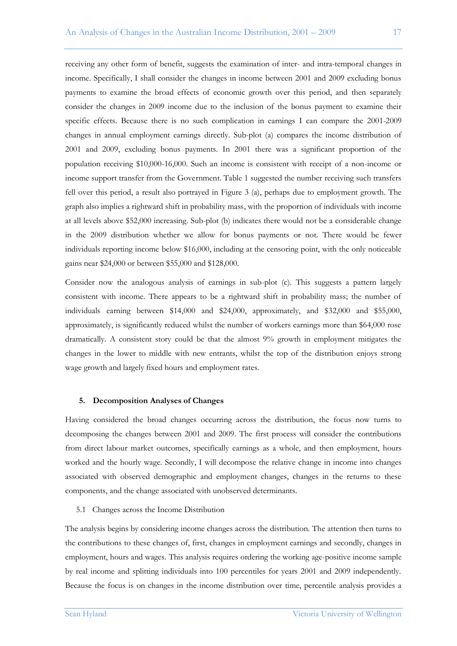receiving any other form of benefit, suggests the examination of inter- and intra-temporal changes in income. Specifically, I shall consider the changes in income between 2001 and 2009 excluding bonus payments to examine the broad effects of economic growth over this period, and then separately consider the changes in 2009 income due to the inclusion of the bonus payment to examine their specific effects. Because there is no such complication in earnings I can compare the 2001-2009 changes in annual employment earnings directly. Sub-plot (a) compares the income distribution of 2001 and 2009, excluding bonus payments. In 2001 there was a significant proportion of the population receiving \$10,000-16,000. Such an income is consistent with receipt of a non-income or income support transfer from the Government. Table 1 suggested the number receiving such transfers fell over this period, a result also portrayed in Figure 3 (a), perhaps due to employment growth. The graph also implies a rightward shift in probability mass, with the proportion of individuals with income at all levels above \$52,000 increasing. Sub-plot (b) indicates there would not be a considerable change in the 2009 distribution whether we allow for bonus payments or not. There would be fewer individuals reporting income below \$16,000, including at the censoring point, with the only noticeable gains near \$24,000 or between \$55,000 and \$128,000.

Consider now the analogous analysis of earnings in sub-plot (c). This suggests a pattern largely consistent with income. There appears to be a rightward shift in probability mass; the number of individuals earning between \$14,000 and \$24,000, approximately, and \$32,000 and \$55,000, approximately, is significantly reduced whilst the number of workers earnings more than \$64,000 rose dramatically. A consistent story could be that the almost 9% growth in employment mitigates the changes in the lower to middle with new entrants, whilst the top of the distribution enjoys strong wage growth and largely fixed hours and employment rates.

#### **5. Decomposition Analyses of Changes**

Having considered the broad changes occurring across the distribution, the focus now turns to decomposing the changes between 2001 and 2009. The first process will consider the contributions from direct labour market outcomes, specifically earnings as a whole, and then employment, hours worked and the hourly wage. Secondly, I will decompose the relative change in income into changes associated with observed demographic and employment changes, changes in the returns to these components, and the change associated with unobserved determinants.

5.1 Changes across the Income Distribution

The analysis begins by considering income changes across the distribution. The attention then turns to the contributions to these changes of, first, changes in employment earnings and secondly, changes in employment, hours and wages. This analysis requires ordering the working age-positive income sample by real income and splitting individuals into 100 percentiles for years 2001 and 2009 independently. Because the focus is on changes in the income distribution over time, percentile analysis provides a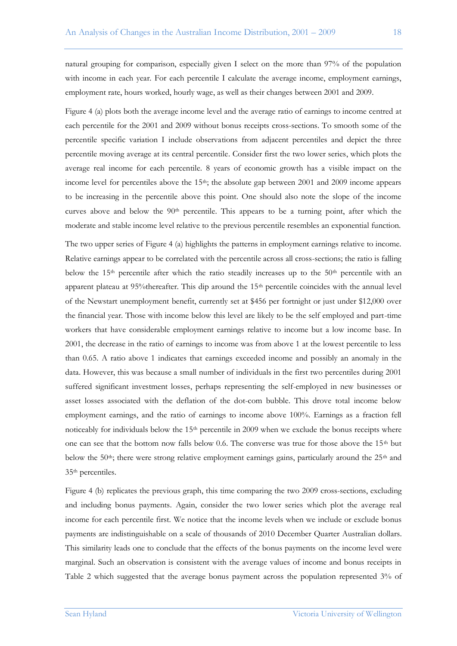natural grouping for comparison, especially given I select on the more than 97% of the population with income in each year. For each percentile I calculate the average income, employment earnings, employment rate, hours worked, hourly wage, as well as their changes between 2001 and 2009.

Figure 4 (a) plots both the average income level and the average ratio of earnings to income centred at each percentile for the 2001 and 2009 without bonus receipts cross-sections. To smooth some of the percentile specific variation I include observations from adjacent percentiles and depict the three percentile moving average at its central percentile. Consider first the two lower series, which plots the average real income for each percentile. 8 years of economic growth has a visible impact on the income level for percentiles above the 15<sup>th</sup>; the absolute gap between 2001 and 2009 income appears to be increasing in the percentile above this point. One should also note the slope of the income curves above and below the  $90<sup>th</sup>$  percentile. This appears to be a turning point, after which the moderate and stable income level relative to the previous percentile resembles an exponential function.

The two upper series of Figure 4 (a) highlights the patterns in employment earnings relative to income. Relative earnings appear to be correlated with the percentile across all cross-sections; the ratio is falling below the  $15<sup>th</sup>$  percentile after which the ratio steadily increases up to the  $50<sup>th</sup>$  percentile with an apparent plateau at 95%thereafter. This dip around the 15th percentile coincides with the annual level of the Newstart unemployment benefit, currently set at \$456 per fortnight or just under \$12,000 over the financial year. Those with income below this level are likely to be the self employed and part-time workers that have considerable employment earnings relative to income but a low income base. In 2001, the decrease in the ratio of earnings to income was from above 1 at the lowest percentile to less than 0.65. A ratio above 1 indicates that earnings exceeded income and possibly an anomaly in the data. However, this was because a small number of individuals in the first two percentiles during 2001 suffered significant investment losses, perhaps representing the self-employed in new businesses or asset losses associated with the deflation of the dot-com bubble. This drove total income below employment earnings, and the ratio of earnings to income above 100%. Earnings as a fraction fell noticeably for individuals below the  $15<sup>th</sup>$  percentile in 2009 when we exclude the bonus receipts where one can see that the bottom now falls below 0.6. The converse was true for those above the  $15<sup>th</sup>$  but below the 50<sup>th</sup>; there were strong relative employment earnings gains, particularly around the  $25<sup>th</sup>$  and 35th percentiles.

Figure 4 (b) replicates the previous graph, this time comparing the two 2009 cross-sections, excluding and including bonus payments. Again, consider the two lower series which plot the average real income for each percentile first. We notice that the income levels when we include or exclude bonus payments are indistinguishable on a scale of thousands of 2010 December Quarter Australian dollars. This similarity leads one to conclude that the effects of the bonus payments on the income level were marginal. Such an observation is consistent with the average values of income and bonus receipts in Table 2 which suggested that the average bonus payment across the population represented 3% of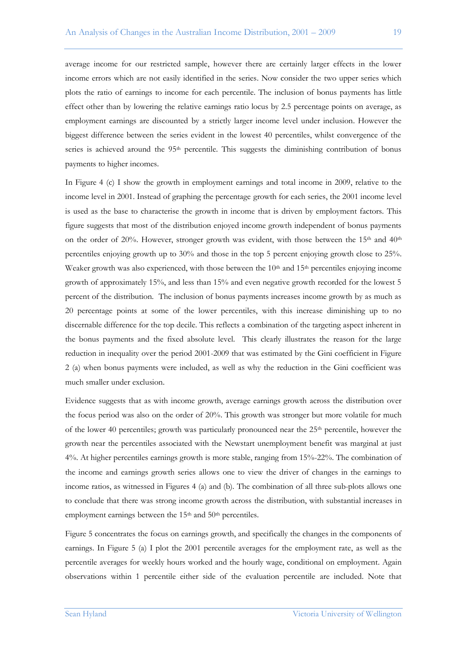average income for our restricted sample, however there are certainly larger effects in the lower income errors which are not easily identified in the series. Now consider the two upper series which plots the ratio of earnings to income for each percentile. The inclusion of bonus payments has little effect other than by lowering the relative earnings ratio locus by 2.5 percentage points on average, as employment earnings are discounted by a strictly larger income level under inclusion. However the biggest difference between the series evident in the lowest 40 percentiles, whilst convergence of the series is achieved around the 95<sup>th</sup> percentile. This suggests the diminishing contribution of bonus payments to higher incomes.

In Figure 4 (c) I show the growth in employment earnings and total income in 2009, relative to the income level in 2001. Instead of graphing the percentage growth for each series, the 2001 income level is used as the base to characterise the growth in income that is driven by employment factors. This figure suggests that most of the distribution enjoyed income growth independent of bonus payments on the order of 20%. However, stronger growth was evident, with those between the  $15<sup>th</sup>$  and  $40<sup>th</sup>$ percentiles enjoying growth up to 30% and those in the top 5 percent enjoying growth close to 25%. Weaker growth was also experienced, with those between the  $10<sup>th</sup>$  and  $15<sup>th</sup>$  percentiles enjoying income growth of approximately 15%, and less than 15% and even negative growth recorded for the lowest 5 percent of the distribution. The inclusion of bonus payments increases income growth by as much as 20 percentage points at some of the lower percentiles, with this increase diminishing up to no discernable difference for the top decile. This reflects a combination of the targeting aspect inherent in the bonus payments and the fixed absolute level. This clearly illustrates the reason for the large reduction in inequality over the period 2001-2009 that was estimated by the Gini coefficient in Figure 2 (a) when bonus payments were included, as well as why the reduction in the Gini coefficient was much smaller under exclusion.

Evidence suggests that as with income growth, average earnings growth across the distribution over the focus period was also on the order of 20%. This growth was stronger but more volatile for much of the lower 40 percentiles; growth was particularly pronounced near the  $25<sup>th</sup>$  percentile, however the growth near the percentiles associated with the Newstart unemployment benefit was marginal at just 4%. At higher percentiles earnings growth is more stable, ranging from 15%-22%. The combination of the income and earnings growth series allows one to view the driver of changes in the earnings to income ratios, as witnessed in Figures 4 (a) and (b). The combination of all three sub-plots allows one to conclude that there was strong income growth across the distribution, with substantial increases in employment earnings between the 15<sup>th</sup> and 50<sup>th</sup> percentiles.

Figure 5 concentrates the focus on earnings growth, and specifically the changes in the components of earnings. In Figure 5 (a) I plot the 2001 percentile averages for the employment rate, as well as the percentile averages for weekly hours worked and the hourly wage, conditional on employment. Again observations within 1 percentile either side of the evaluation percentile are included. Note that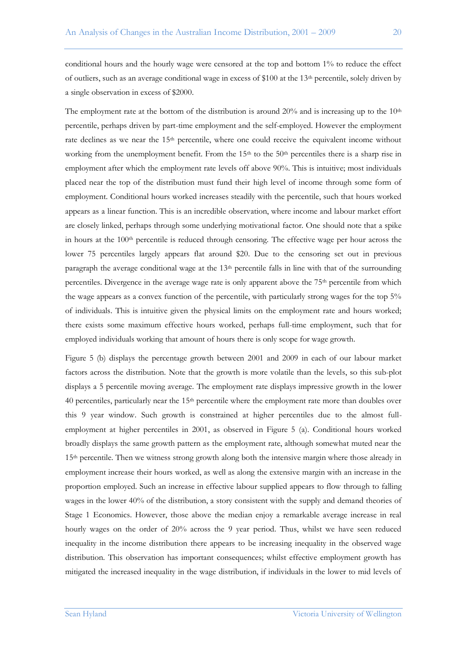conditional hours and the hourly wage were censored at the top and bottom 1% to reduce the effect of outliers, such as an average conditional wage in excess of \$100 at the 13<sup>th</sup> percentile, solely driven by a single observation in excess of \$2000.

The employment rate at the bottom of the distribution is around  $20\%$  and is increasing up to the  $10<sup>th</sup>$ percentile, perhaps driven by part-time employment and the self-employed. However the employment rate declines as we near the 15<sup>th</sup> percentile, where one could receive the equivalent income without working from the unemployment benefit. From the  $15<sup>th</sup>$  to the  $50<sup>th</sup>$  percentiles there is a sharp rise in employment after which the employment rate levels off above 90%. This is intuitive; most individuals placed near the top of the distribution must fund their high level of income through some form of employment. Conditional hours worked increases steadily with the percentile, such that hours worked appears as a linear function. This is an incredible observation, where income and labour market effort are closely linked, perhaps through some underlying motivational factor. One should note that a spike in hours at the  $100<sup>th</sup>$  percentile is reduced through censoring. The effective wage per hour across the lower 75 percentiles largely appears flat around \$20. Due to the censoring set out in previous paragraph the average conditional wage at the  $13<sup>th</sup>$  percentile falls in line with that of the surrounding percentiles. Divergence in the average wage rate is only apparent above the 75th percentile from which the wage appears as a convex function of the percentile, with particularly strong wages for the top 5% of individuals. This is intuitive given the physical limits on the employment rate and hours worked; there exists some maximum effective hours worked, perhaps full-time employment, such that for employed individuals working that amount of hours there is only scope for wage growth.

Figure 5 (b) displays the percentage growth between 2001 and 2009 in each of our labour market factors across the distribution. Note that the growth is more volatile than the levels, so this sub-plot displays a 5 percentile moving average. The employment rate displays impressive growth in the lower 40 percentiles, particularly near the  $15<sup>th</sup>$  percentile where the employment rate more than doubles over this 9 year window. Such growth is constrained at higher percentiles due to the almost fullemployment at higher percentiles in 2001, as observed in Figure 5 (a). Conditional hours worked broadly displays the same growth pattern as the employment rate, although somewhat muted near the 15th percentile. Then we witness strong growth along both the intensive margin where those already in employment increase their hours worked, as well as along the extensive margin with an increase in the proportion employed. Such an increase in effective labour supplied appears to flow through to falling wages in the lower 40% of the distribution, a story consistent with the supply and demand theories of Stage 1 Economics. However, those above the median enjoy a remarkable average increase in real hourly wages on the order of 20% across the 9 year period. Thus, whilst we have seen reduced inequality in the income distribution there appears to be increasing inequality in the observed wage distribution. This observation has important consequences; whilst effective employment growth has mitigated the increased inequality in the wage distribution, if individuals in the lower to mid levels of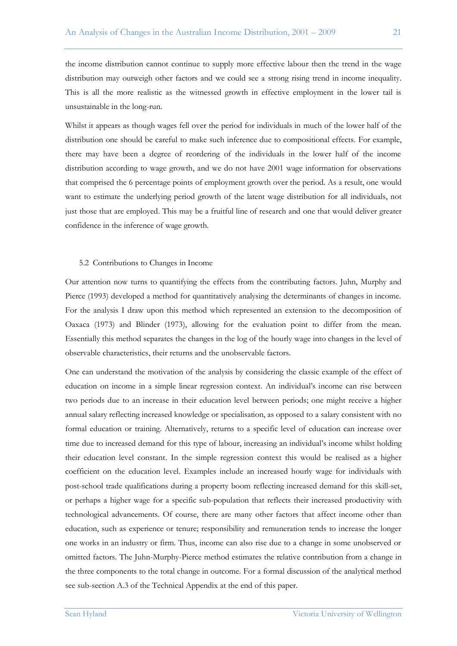the income distribution cannot continue to supply more effective labour then the trend in the wage distribution may outweigh other factors and we could see a strong rising trend in income inequality. This is all the more realistic as the witnessed growth in effective employment in the lower tail is unsustainable in the long-run.

Whilst it appears as though wages fell over the period for individuals in much of the lower half of the distribution one should be careful to make such inference due to compositional effects. For example, there may have been a degree of reordering of the individuals in the lower half of the income distribution according to wage growth, and we do not have 2001 wage information for observations that comprised the 6 percentage points of employment growth over the period. As a result, one would want to estimate the underlying period growth of the latent wage distribution for all individuals, not just those that are employed. This may be a fruitful line of research and one that would deliver greater confidence in the inference of wage growth.

#### 5.2 Contributions to Changes in Income

Our attention now turns to quantifying the effects from the contributing factors. Juhn, Murphy and Pierce (1993) developed a method for quantitatively analysing the determinants of changes in income. For the analysis I draw upon this method which represented an extension to the decomposition of Oaxaca (1973) and Blinder (1973), allowing for the evaluation point to differ from the mean. Essentially this method separates the changes in the log of the hourly wage into changes in the level of observable characteristics, their returns and the unobservable factors.

One can understand the motivation of the analysis by considering the classic example of the effect of education on income in a simple linear regression context. An individual's income can rise between two periods due to an increase in their education level between periods; one might receive a higher annual salary reflecting increased knowledge or specialisation, as opposed to a salary consistent with no formal education or training. Alternatively, returns to a specific level of education can increase over time due to increased demand for this type of labour, increasing an individual"s income whilst holding their education level constant. In the simple regression context this would be realised as a higher coefficient on the education level. Examples include an increased hourly wage for individuals with post-school trade qualifications during a property boom reflecting increased demand for this skill-set, or perhaps a higher wage for a specific sub-population that reflects their increased productivity with technological advancements. Of course, there are many other factors that affect income other than education, such as experience or tenure; responsibility and remuneration tends to increase the longer one works in an industry or firm. Thus, income can also rise due to a change in some unobserved or omitted factors. The Juhn-Murphy-Pierce method estimates the relative contribution from a change in the three components to the total change in outcome. For a formal discussion of the analytical method see sub-section A.3 of the Technical Appendix at the end of this paper.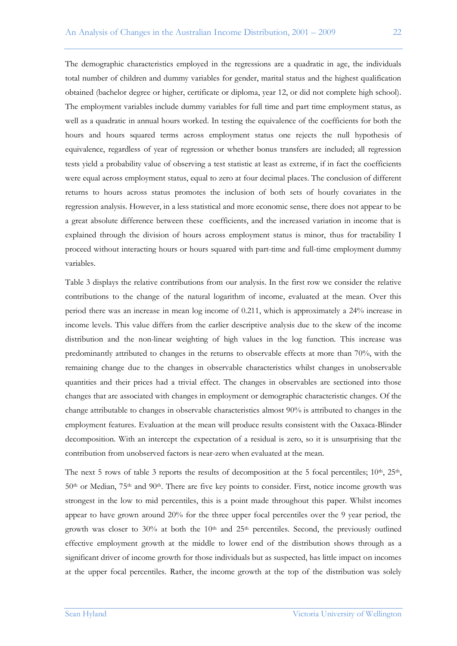The demographic characteristics employed in the regressions are a quadratic in age, the individuals total number of children and dummy variables for gender, marital status and the highest qualification obtained (bachelor degree or higher, certificate or diploma, year 12, or did not complete high school). The employment variables include dummy variables for full time and part time employment status, as well as a quadratic in annual hours worked. In testing the equivalence of the coefficients for both the hours and hours squared terms across employment status one rejects the null hypothesis of equivalence, regardless of year of regression or whether bonus transfers are included; all regression tests yield a probability value of observing a test statistic at least as extreme, if in fact the coefficients were equal across employment status, equal to zero at four decimal places. The conclusion of different returns to hours across status promotes the inclusion of both sets of hourly covariates in the regression analysis. However, in a less statistical and more economic sense, there does not appear to be a great absolute difference between these coefficients, and the increased variation in income that is explained through the division of hours across employment status is minor, thus for tractability I proceed without interacting hours or hours squared with part-time and full-time employment dummy

Table 3 displays the relative contributions from our analysis. In the first row we consider the relative contributions to the change of the natural logarithm of income, evaluated at the mean. Over this period there was an increase in mean log income of 0.211, which is approximately a 24% increase in income levels. This value differs from the earlier descriptive analysis due to the skew of the income distribution and the non-linear weighting of high values in the log function. This increase was predominantly attributed to changes in the returns to observable effects at more than 70%, with the remaining change due to the changes in observable characteristics whilst changes in unobservable quantities and their prices had a trivial effect. The changes in observables are sectioned into those changes that are associated with changes in employment or demographic characteristic changes. Of the change attributable to changes in observable characteristics almost 90% is attributed to changes in the employment features. Evaluation at the mean will produce results consistent with the Oaxaca-Blinder decomposition. With an intercept the expectation of a residual is zero, so it is unsurprising that the contribution from unobserved factors is near-zero when evaluated at the mean.

The next 5 rows of table 3 reports the results of decomposition at the 5 focal percentiles;  $10<sup>th</sup>$ ,  $25<sup>th</sup>$ ,  $50<sup>th</sup>$  or Median,  $75<sup>th</sup>$  and  $90<sup>th</sup>$ . There are five key points to consider. First, notice income growth was strongest in the low to mid percentiles, this is a point made throughout this paper. Whilst incomes appear to have grown around 20% for the three upper focal percentiles over the 9 year period, the growth was closer to 30% at both the  $10<sup>th</sup>$  and  $25<sup>th</sup>$  percentiles. Second, the previously outlined effective employment growth at the middle to lower end of the distribution shows through as a significant driver of income growth for those individuals but as suspected, has little impact on incomes at the upper focal percentiles. Rather, the income growth at the top of the distribution was solely

variables.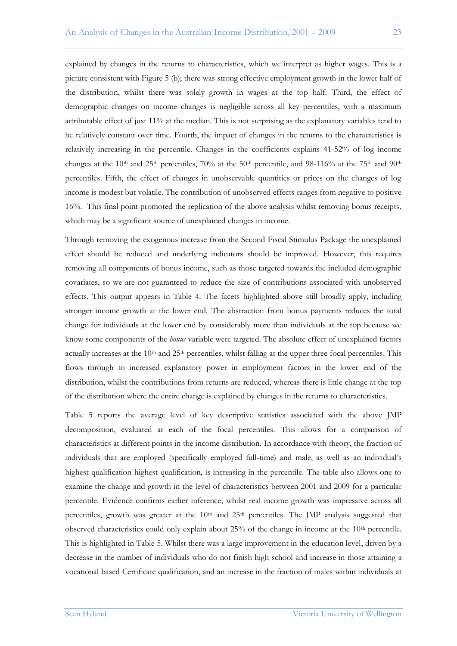explained by changes in the returns to characteristics, which we interpret as higher wages. This is a picture consistent with Figure 5 (b); there was strong effective employment growth in the lower half of the distribution, whilst there was solely growth in wages at the top half. Third, the effect of demographic changes on income changes is negligible across all key percentiles, with a maximum attributable effect of just 11% at the median. This is not surprising as the explanatory variables tend to be relatively constant over time. Fourth, the impact of changes in the returns to the characteristics is relatively increasing in the percentile. Changes in the coefficients explains 41-52% of log income changes at the 10<sup>th</sup> and 25<sup>th</sup> percentiles, 70% at the 50<sup>th</sup> percentile, and 98-116% at the 75<sup>th</sup> and 90<sup>th</sup> percentiles. Fifth, the effect of changes in unobservable quantities or prices on the changes of log income is modest but volatile. The contribution of unobserved effects ranges from negative to positive 16%. This final point promoted the replication of the above analysis whilst removing bonus receipts, which may be a significant source of unexplained changes in income.

Through removing the exogenous increase from the Second Fiscal Stimulus Package the unexplained effect should be reduced and underlying indicators should be improved. However, this requires removing all components of bonus income, such as those targeted towards the included demographic covariates, so we are not guaranteed to reduce the size of contributions associated with unobserved effects. This output appears in Table 4. The facets highlighted above still broadly apply, including stronger income growth at the lower end. The abstraction from bonus payments reduces the total change for individuals at the lower end by considerably more than individuals at the top because we know some components of the *bonus* variable were targeted. The absolute effect of unexplained factors actually increases at the 10<sup>th</sup> and 25<sup>th</sup> percentiles, whilst falling at the upper three focal percentiles. This flows through to increased explanatory power in employment factors in the lower end of the distribution, whilst the contributions from returns are reduced, whereas there is little change at the top of the distribution where the entire change is explained by changes in the returns to characteristics.

Table 5 reports the average level of key descriptive statistics associated with the above JMP decomposition, evaluated at each of the focal percentiles. This allows for a comparison of characteristics at different points in the income distribution. In accordance with theory, the fraction of individuals that are employed (specifically employed full-time) and male, as well as an individual"s highest qualification highest qualification, is increasing in the percentile. The table also allows one to examine the change and growth in the level of characteristics between 2001 and 2009 for a particular percentile. Evidence confirms earlier inference; whilst real income growth was impressive across all percentiles, growth was greater at the  $10<sup>th</sup>$  and  $25<sup>th</sup>$  percentiles. The JMP analysis suggested that observed characteristics could only explain about  $25%$  of the change in income at the  $10<sup>th</sup>$  percentile. This is highlighted in Table 5. Whilst there was a large improvement in the education level, driven by a decrease in the number of individuals who do not finish high school and increase in those attaining a vocational based Certificate qualification, and an increase in the fraction of males within individuals at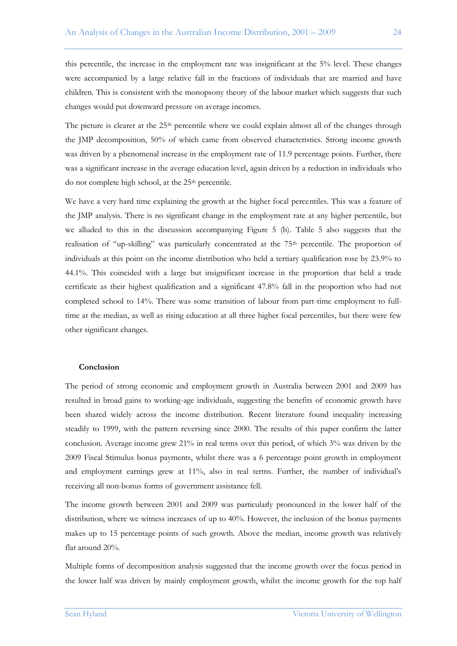this percentile, the increase in the employment rate was insignificant at the 5% level. These changes were accompanied by a large relative fall in the fractions of individuals that are married and have children. This is consistent with the monopsony theory of the labour market which suggests that such changes would put downward pressure on average incomes.

The picture is clearer at the 25<sup>th</sup> percentile where we could explain almost all of the changes through the JMP decomposition, 50% of which came from observed characteristics. Strong income growth was driven by a phenomenal increase in the employment rate of 11.9 percentage points. Further, there was a significant increase in the average education level, again driven by a reduction in individuals who do not complete high school, at the  $25<sup>th</sup>$  percentile.

We have a very hard time explaining the growth at the higher focal percentiles. This was a feature of the JMP analysis. There is no significant change in the employment rate at any higher percentile, but we alluded to this in the discussion accompanying Figure 5 (b). Table 5 also suggests that the realisation of "up-skilling" was particularly concentrated at the  $75<sup>th</sup>$  percentile. The proportion of individuals at this point on the income distribution who held a tertiary qualification rose by 23.9% to 44.1%. This coincided with a large but insignificant increase in the proportion that held a trade certificate as their highest qualification and a significant 47.8% fall in the proportion who had not completed school to 14%. There was some transition of labour from part-time employment to fulltime at the median, as well as rising education at all three higher focal percentiles, but there were few other significant changes.

## **Conclusion**

The period of strong economic and employment growth in Australia between 2001 and 2009 has resulted in broad gains to working-age individuals, suggesting the benefits of economic growth have been shared widely across the income distribution. Recent literature found inequality increasing steadily to 1999, with the pattern reversing since 2000. The results of this paper confirm the latter conclusion. Average income grew  $21\%$  in real terms over this period, of which  $3\%$  was driven by the 2009 Fiscal Stimulus bonus payments, whilst there was a 6 percentage point growth in employment and employment earnings grew at 11%, also in real terms. Further, the number of individual's receiving all non-bonus forms of government assistance fell.

The income growth between 2001 and 2009 was particularly pronounced in the lower half of the distribution, where we witness increases of up to 40%. However, the inclusion of the bonus payments makes up to 15 percentage points of such growth. Above the median, income growth was relatively flat around 20%.

Multiple forms of decomposition analysis suggested that the income growth over the focus period in the lower half was driven by mainly employment growth, whilst the income growth for the top half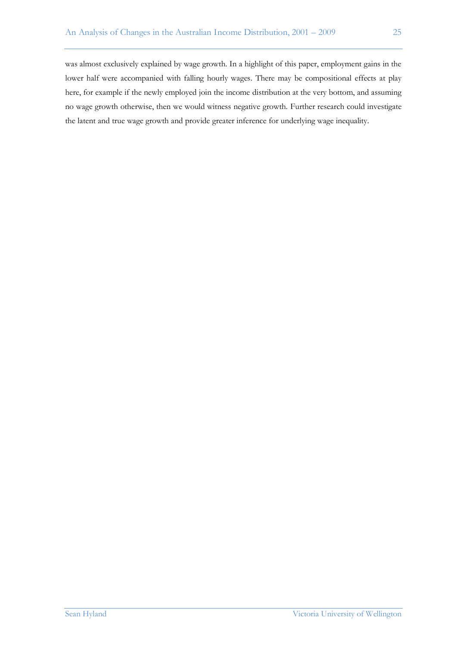was almost exclusively explained by wage growth. In a highlight of this paper, employment gains in the lower half were accompanied with falling hourly wages. There may be compositional effects at play here, for example if the newly employed join the income distribution at the very bottom, and assuming no wage growth otherwise, then we would witness negative growth. Further research could investigate the latent and true wage growth and provide greater inference for underlying wage inequality.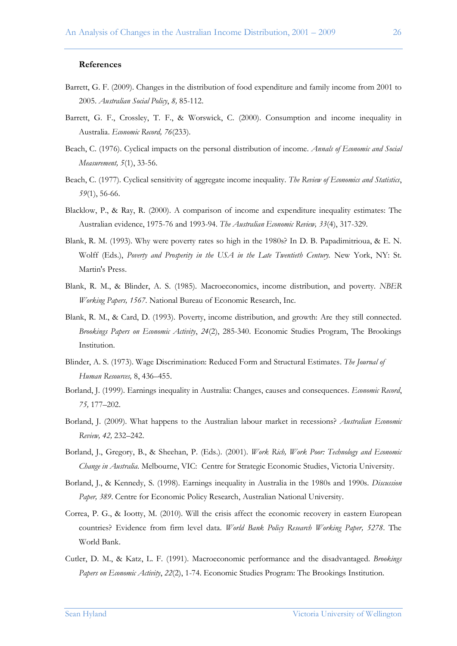#### **References**

- Barrett, G. F. (2009). Changes in the distribution of food expenditure and family income from 2001 to 2005. *Australian Social Policy*, *8,* 85-112.
- Barrett, G. F., Crossley, T. F., & Worswick, C. (2000). Consumption and income inequality in Australia. *Economic Record, 76*(233).
- Beach, C. (1976). Cyclical impacts on the personal distribution of income. *Annals of Economic and Social Measurement, 5*(1), 33-56.
- Beach, C. (1977). Cyclical sensitivity of aggregate income inequality. *The Review of Economics and Statistics*, *59*(1), 56-66.
- Blacklow, P., & Ray, R. (2000). A comparison of income and expenditure inequality estimates: The Australian evidence, 1975-76 and 1993-94. *The Australian Economic Review, 33*(4), 317-329*.*
- Blank, R. M. (1993). Why were poverty rates so high in the 1980s? In D. B. Papadimitrioua, & E. N. Wolff (Eds.), *Poverty and Prosperity in the USA in the Late Twentieth Century.* New York, NY: St. Martin's Press.
- Blank, R. M., & Blinder, A. S. (1985). [Macroeconomics, income distribution, and poverty.](http://ideas.repec.org/p/nbr/nberwo/1567.html) *[NBER](http://ideas.repec.org/s/nbr/nberwo.html)  [Working Papers,](http://ideas.repec.org/s/nbr/nberwo.html) 1567*. National Bureau of Economic Research, Inc.
- Blank, R. M., & Card, D. (1993). Poverty, income distribution, and growth: Are they still connected. *Brookings Papers on Economic Activity*, *24*(2), 285-340. Economic Studies Program, The Brookings Institution.
- Blinder, A. S. (1973). Wage Discrimination: Reduced Form and Structural Estimates. *The Journal of Human Resources,* 8, 436–455.
- Borland, J. (1999). Earnings inequality in Australia: Changes, causes and consequences. *Economic Record*, *75,* 177–202.
- Borland, J. (2009). What happens to the Australian labour market in recessions? *Australian Economic Review, 42,* 232–242.
- Borland, J., Gregory, B., & Sheehan, P. (Eds.). (2001). *Work Rich, Work Poor: Technology and Economic Change in Australia.* Melbourne, VIC: Centre for Strategic Economic Studies, Victoria University.
- Borland, J., & Kennedy, S. (1998). Earnings inequality in Australia in the 1980s and 1990s. *Discussion Paper, 389*. Centre for Economic Policy Research, Australian National University.
- Correa, P. G., & Iootty, M. (2010). Will the crisis affect the economic recovery in eastern European countries? Evidence from firm level data. *World Bank Policy Research Working Paper, 5278*. The World Bank.
- Cutler, D. M., & Katz, L. F. (1991). Macroeconomic performance and the disadvantaged. *Brookings Papers on Economic Activity*, *22*(2), 1-74. Economic Studies Program: The Brookings Institution.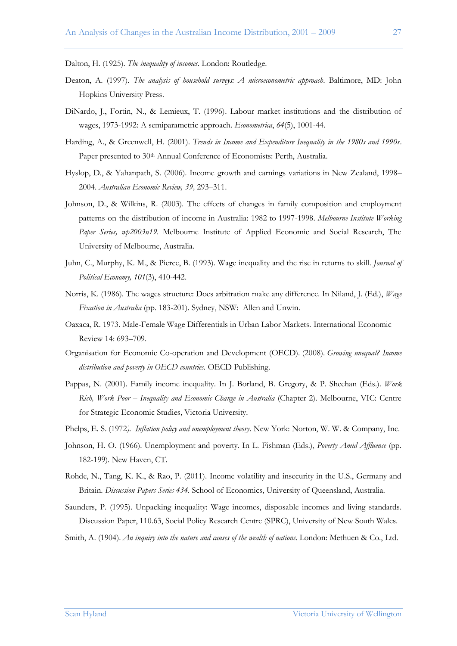Dalton, H. (1925). *The inequality of incomes*. London: Routledge.

- Deaton, A. (1997). *The analysis of household surveys: A microeconometric approach*. Baltimore, MD: John Hopkins University Press.
- DiNardo, J., Fortin, N., & Lemieux, T. (1996). Labour market institutions and the distribution of wages, 1973-1992: A semiparametric approach. *Econometrica*, *64*(5), 1001-44.
- Harding, A., & Greenwell, H. (2001). *Trends in Income and Expenditure Inequality in the 1980s and 1990s*. Paper presented to 30<sup>th</sup> Annual Conference of Economists: Perth, Australia.
- Hyslop, D., & Yahanpath, S. (2006). Income growth and earnings variations in New Zealand, 1998– 2004. *Australian Economic Review, 39,* 293–311.
- Johnson, D., & Wilkins, R. (2003). The effects of changes in family composition and employment patterns on the distribution of income in Australia: 1982 to 1997-1998. *[Melbourne Institute Working](http://ideas.repec.org/s/iae/iaewps.html)  [Paper Series,](http://ideas.repec.org/s/iae/iaewps.html) wp2003n19.* Melbourne Institute of Applied Economic and Social Research, The University of Melbourne, Australia.
- Juhn, C., Murphy, K. M., & Pierce, B. (1993). Wage inequality and the rise in returns to skill. *Journal of Political Economy, 101*(3), 410-442.
- Norris, K. (1986). The wages structure: Does arbitration make any difference. In Niland, J. (Ed.), *Wage Fixation in Australia* (pp. 183-201). Sydney, NSW:Allen and Unwin.
- Oaxaca, R. 1973. Male-Female Wage Differentials in Urban Labor Markets. International Economic Review 14: 693–709.
- Organisation for Economic Co-operation and Development (OECD). (2008). *Growing unequal? Income distribution and poverty in OECD countries.* OECD Publishing.
- Pappas, N. (2001). Family income inequality. In J. Borland, B. Gregory, & P. Sheehan (Eds.). *Work Rich, Work Poor – Inequality and Economic Change in Australia* (Chapter 2). Melbourne, VIC: Centre for Strategic Economic Studies, Victoria University.
- Phelps, E. S. (1972*). Inflation policy and unemployment theory*. New York: Norton, W. W. & Company, Inc.
- Johnson, H. O. (1966). Unemployment and poverty. In L. Fishman (Eds.), *Poverty Amid Affluence* (pp. 182-199). New Haven, CT.
- Rohde, N., Tang, K. K., & Rao, P. (2011). Income volatility and insecurity in the U.S., Germany and Britain. *Discussion Papers Series 434.* School of Economics, University of Queensland, Australia.
- Saunders, P. (1995). Unpacking inequality: Wage incomes, disposable incomes and living standards. Discussion Paper, 110.63, Social Policy Research Centre (SPRC), University of New South Wales.
- Smith, A. (1904). *An inquiry into the nature and causes of the wealth of nations.* London: Methuen & Co., Ltd.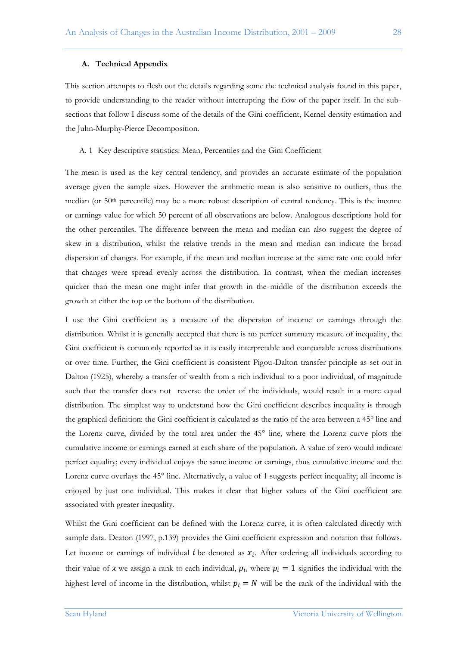## **A. Technical Appendix**

This section attempts to flesh out the details regarding some the technical analysis found in this paper, to provide understanding to the reader without interrupting the flow of the paper itself. In the subsections that follow I discuss some of the details of the Gini coefficient, Kernel density estimation and the Juhn-Murphy-Pierce Decomposition.

#### A. 1 Key descriptive statistics: Mean, Percentiles and the Gini Coefficient

The mean is used as the key central tendency, and provides an accurate estimate of the population average given the sample sizes. However the arithmetic mean is also sensitive to outliers, thus the median (or 50th percentile) may be a more robust description of central tendency. This is the income or earnings value for which 50 percent of all observations are below. Analogous descriptions hold for the other percentiles. The difference between the mean and median can also suggest the degree of skew in a distribution, whilst the relative trends in the mean and median can indicate the broad dispersion of changes. For example, if the mean and median increase at the same rate one could infer that changes were spread evenly across the distribution. In contrast, when the median increases quicker than the mean one might infer that growth in the middle of the distribution exceeds the growth at either the top or the bottom of the distribution.

I use the Gini coefficient as a measure of the dispersion of income or earnings through the distribution. Whilst it is generally accepted that there is no perfect summary measure of inequality, the Gini coefficient is commonly reported as it is easily interpretable and comparable across distributions or over time. Further, the Gini coefficient is consistent Pigou-Dalton transfer principle as set out in Dalton (1925), whereby a transfer of wealth from a rich individual to a poor individual, of magnitude such that the transfer does not reverse the order of the individuals, would result in a more equal distribution. The simplest way to understand how the Gini coefficient describes inequality is through the graphical definition: the Gini coefficient is calculated as the ratio of the area between a 45° line and the Lorenz curve, divided by the total area under the 45° line, where the Lorenz curve plots the cumulative income or earnings earned at each share of the population. A value of zero would indicate perfect equality; every individual enjoys the same income or earnings, thus cumulative income and the Lorenz curve overlays the 45° line. Alternatively, a value of 1 suggests perfect inequality; all income is enjoyed by just one individual. This makes it clear that higher values of the Gini coefficient are associated with greater inequality.

Whilst the Gini coefficient can be defined with the Lorenz curve, it is often calculated directly with sample data. Deaton (1997, p.139) provides the Gini coefficient expression and notation that follows. Let income or earnings of individual *i* be denoted as  $x_i$ . After ordering all individuals according to their value of x we assign a rank to each individual,  $p_i$ , where  $p_i = 1$  signifies the individual with the highest level of income in the distribution, whilst  $p_i = N$  will be the rank of the individual with the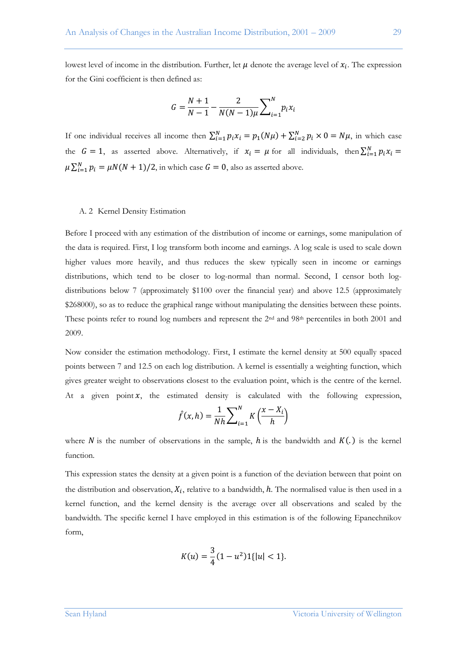lowest level of income in the distribution. Further, let  $\mu$  denote the average level of  $x_i$ . The expression for the Gini coefficient is then defined as:

$$
G = \frac{N+1}{N-1} - \frac{2}{N(N-1)\mu} \sum_{i=1}^{N} p_i x_i
$$

If one individual receives all income then  $\sum_{i=1}^{N} p_i x_i = p_1(N\mu) + \sum_{i=2}^{N} p_i \times 0 = N\mu$ , in which case the  $G = 1$ , as asserted above. Alternatively, if  $x_i = \mu$  for all individuals, then  $\sum_{i=1}^{N}$  $\mu \sum_{i=1}^{N} p_i = \mu N(N+1)/2$ , in which case  $G=0$ , also as asserted above.

#### A. 2 Kernel Density Estimation

Before I proceed with any estimation of the distribution of income or earnings, some manipulation of the data is required. First, I log transform both income and earnings. A log scale is used to scale down higher values more heavily, and thus reduces the skew typically seen in income or earnings distributions, which tend to be closer to log-normal than normal. Second, I censor both logdistributions below 7 (approximately \$1100 over the financial year) and above 12.5 (approximately \$268000), so as to reduce the graphical range without manipulating the densities between these points. These points refer to round log numbers and represent the 2<sup>nd</sup> and 98<sup>th</sup> percentiles in both 2001 and 2009.

Now consider the estimation methodology. First, I estimate the kernel density at 500 equally spaced points between 7 and 12.5 on each log distribution. A kernel is essentially a weighting function, which gives greater weight to observations closest to the evaluation point, which is the centre of the kernel. At a given point  $x$ , the estimated density is calculated with the following expression,

$$
\hat{f}(x,h) = \frac{1}{Nh} \sum_{i=1}^{N} K\left(\frac{x - X_i}{h}\right)
$$

where N is the number of observations in the sample, h is the bandwidth and  $K(.)$  is the kernel function.

This expression states the density at a given point is a function of the deviation between that point on the distribution and observation,  $X_i$ , relative to a bandwidth, h. The normalised value is then used in a kernel function, and the kernel density is the average over all observations and scaled by the bandwidth. The specific kernel I have employed in this estimation is of the following Epanechnikov form,

$$
K(u) = \frac{3}{4}(1 - u^2)1\{|u| < 1\}
$$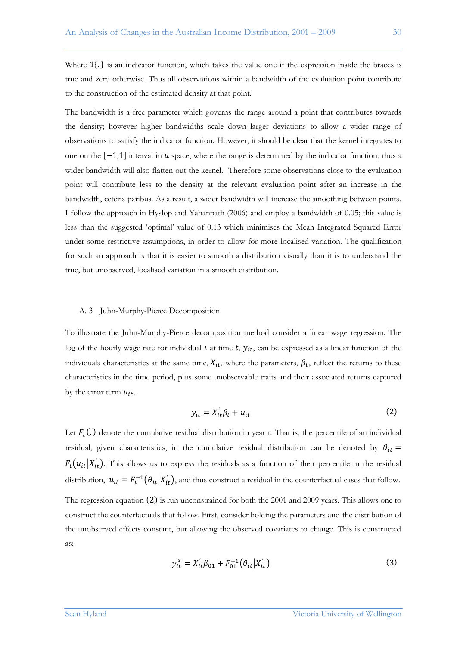Where  $1\{\cdot\}$  is an indicator function, which takes the value one if the expression inside the braces is true and zero otherwise. Thus all observations within a bandwidth of the evaluation point contribute to the construction of the estimated density at that point.

The bandwidth is a free parameter which governs the range around a point that contributes towards the density; however higher bandwidths scale down larger deviations to allow a wider range of observations to satisfy the indicator function. However, it should be clear that the kernel integrates to one on the  $[-1,1]$  interval in u space, where the range is determined by the indicator function, thus a wider bandwidth will also flatten out the kernel. Therefore some observations close to the evaluation point will contribute less to the density at the relevant evaluation point after an increase in the bandwidth, ceteris paribus. As a result, a wider bandwidth will increase the smoothing between points. I follow the approach in Hyslop and Yahanpath (2006) and employ a bandwidth of 0.05; this value is less than the suggested "optimal" value of 0.13 which minimises the Mean Integrated Squared Error under some restrictive assumptions, in order to allow for more localised variation. The qualification for such an approach is that it is easier to smooth a distribution visually than it is to understand the true, but unobserved, localised variation in a smooth distribution.

#### A. 3 Juhn-Murphy-Pierce Decomposition

To illustrate the Juhn-Murphy-Pierce decomposition method consider a linear wage regression. The log of the hourly wage rate for individual  $i$  at time  $t$ ,  $y_{it}$ , can be expressed as a linear function of the individuals characteristics at the same time,  $X_{it}$ , where the parameters,  $\beta_t$ , reflect the returns to these characteristics in the time period, plus some unobservable traits and their associated returns captured by the error term  $u_{it}$ .

$$
y_{it} = X_{it}'\beta_t + u_{it} \tag{2}
$$

Let  $F_t(.)$  denote the cumulative residual distribution in year t. That is, the percentile of an individual residual, given characteristics, in the cumulative residual distribution can be denoted by  $\theta_{it}$  =  $F_t(u_{it}|X'_{it})$ . This allows us to express the residuals as a function of their percentile in the residual distribution,  $u_{it} = F_t^{-1}(\theta_{it}|X_{it}')$ , and thus construct a residual in the counterfactual cases that follow. The regression equation  $(2)$  is run unconstrained for both the 2001 and 2009 years. This allows one to construct the counterfactuals that follow. First, consider holding the parameters and the distribution of the unobserved effects constant, but allowing the observed covariates to change. This is constructed as:

$$
y_{it}^X = X_{it}'\beta_{01} + F_{01}^{-1}(\theta_{it}|X_{it}') \tag{3}
$$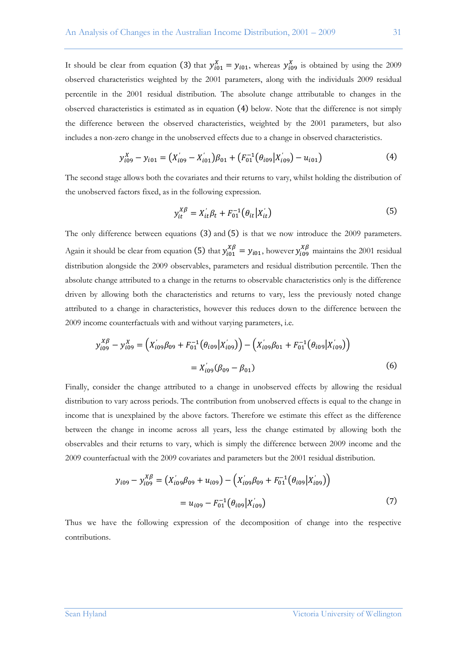It should be clear from equation (3) that  $y_{i01}^X = y_{i01}$ , whereas  $y_{i09}^X$  is obtained by using the 2009 observed characteristics weighted by the 2001 parameters, along with the individuals 2009 residual percentile in the 2001 residual distribution. The absolute change attributable to changes in the observed characteristics is estimated as in equation  $(4)$  below. Note that the difference is not simply the difference between the observed characteristics, weighted by the 2001 parameters, but also includes a non-zero change in the unobserved effects due to a change in observed characteristics.

$$
y_{i09}^X - y_{i01} = (X'_{i09} - X'_{i01})\beta_{01} + (F_{01}^{-1}(\theta_{i09}|X'_{i09}) - u_{i01})
$$
\n(4)

The second stage allows both the covariates and their returns to vary, whilst holding the distribution of the unobserved factors fixed, as in the following expression.

$$
y_{it}^{X\beta} = X_{it}^{'}\beta_t + F_{01}^{-1}(\theta_{it}|X_{it}^{'}))
$$
\n(5)

The only difference between equations  $(3)$  and  $(5)$  is that we now introduce the 2009 parameters. Again it should be clear from equation (5) that  $y_{i01}^{X\beta} = y_{i01}$ , however  $y_{i09}^{X\beta}$  maintains the 2001 residual distribution alongside the 2009 observables, parameters and residual distribution percentile. Then the absolute change attributed to a change in the returns to observable characteristics only is the difference driven by allowing both the characteristics and returns to vary, less the previously noted change attributed to a change in characteristics, however this reduces down to the difference between the 2009 income counterfactuals with and without varying parameters, i.e.

$$
y_{i09}^{X\beta} - y_{i09}^{X} = (X'_{i09}\beta_{09} + F_{01}^{-1}(\theta_{i09}|X'_{i09})) - (X'_{i09}\beta_{01} + F_{01}^{-1}(\theta_{i09}|X'_{i09}))
$$
  
=  $X'_{i09}(\beta_{09} - \beta_{01})$  (6)

Finally, consider the change attributed to a change in unobserved effects by allowing the residual distribution to vary across periods. The contribution from unobserved effects is equal to the change in income that is unexplained by the above factors. Therefore we estimate this effect as the difference between the change in income across all years, less the change estimated by allowing both the observables and their returns to vary, which is simply the difference between 2009 income and the 2009 counterfactual with the 2009 covariates and parameters but the 2001 residual distribution.

$$
y_{i09} - y_{i09}^{X\beta} = (X'_{i09}\beta_{09} + u_{i09}) - (X'_{i09}\beta_{09} + F_{01}^{-1}(\theta_{i09}|X'_{i09}))
$$
  
=  $u_{i09} - F_{01}^{-1}(\theta_{i09}|X'_{i09})$  (7)

Thus we have the following expression of the decomposition of change into the respective contributions.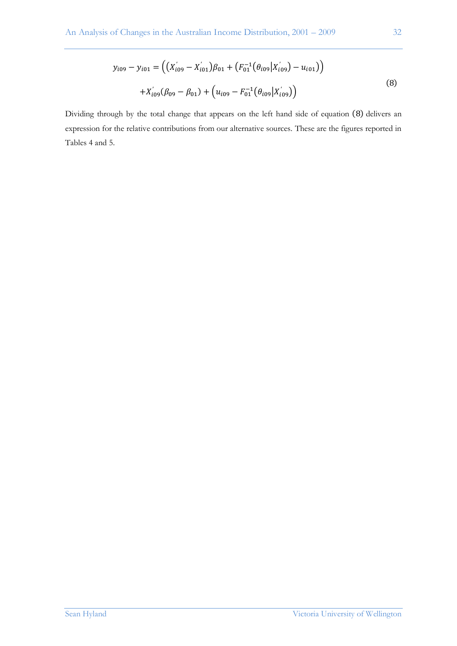$$
y_{i09} - y_{i01} = ((X'_{i09} - X'_{i01})\beta_{01} + (F_{01}^{-1}(\theta_{i09}|X'_{i09}) - u_{i01}))
$$
  
+ 
$$
X'_{i09}(\beta_{09} - \beta_{01}) + (u_{i09} - F_{01}^{-1}(\theta_{i09}|X'_{i09}))
$$
 (8)

Dividing through by the total change that appears on the left hand side of equation (8) delivers an expression for the relative contributions from our alternative sources. These are the figures reported in Tables 4 and 5.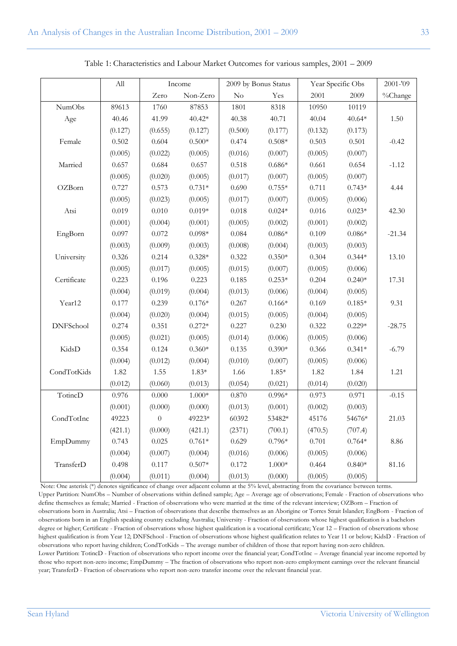|                  | $\mathop{\mathrm{All}}\nolimits$ | Income         |          |         | 2009 by Bonus Status | Year Specific Obs | 2001-'09 |          |
|------------------|----------------------------------|----------------|----------|---------|----------------------|-------------------|----------|----------|
|                  |                                  | Zero           | Non-Zero | No      | Yes                  | 2001              | 2009     | %Change  |
| <b>NumObs</b>    | 89613                            | 1760           | 87853    | 1801    | 8318                 | 10950             | 10119    |          |
| Age              | 40.46                            | 41.99          | $40.42*$ | 40.38   | 40.71                | 40.04             | $40.64*$ | 1.50     |
|                  | (0.127)                          | (0.655)        | (0.127)  | (0.500) | (0.177)              | (0.132)           | (0.173)  |          |
| Female           | 0.502                            | 0.604          | $0.500*$ | 0.474   | $0.508*$             | 0.503             | 0.501    | $-0.42$  |
|                  | (0.005)                          | (0.022)        | (0.005)  | (0.016) | (0.007)              | (0.005)           | (0.007)  |          |
| Married          | 0.657                            | 0.684          | 0.657    | 0.518   | $0.686*$             | 0.661             | 0.654    | $-1.12$  |
|                  | (0.005)                          | (0.020)        | (0.005)  | (0.017) | (0.007)              | (0.005)           | (0.007)  |          |
| OZBorn           | 0.727                            | 0.573          | $0.731*$ | 0.690   | $0.755*$             | 0.711             | $0.743*$ | 4.44     |
|                  | (0.005)                          | (0.023)        | (0.005)  | (0.017) | (0.007)              | (0.005)           | (0.006)  |          |
| Atsi             | 0.019                            | 0.010          | $0.019*$ | 0.018   | $0.024*$             | 0.016             | $0.023*$ | 42.30    |
|                  | (0.001)                          | (0.004)        | (0.001)  | (0.005) | (0.002)              | (0.001)           | (0.002)  |          |
| EngBorn          | 0.097                            | 0.072          | $0.098*$ | 0.084   | $0.086*$             | 0.109             | $0.086*$ | $-21.34$ |
|                  | (0.003)                          | (0.009)        | (0.003)  | (0.008) | (0.004)              | (0.003)           | (0.003)  |          |
| University       | 0.326                            | 0.214          | $0.328*$ | 0.322   | $0.350*$             | 0.304             | $0.344*$ | 13.10    |
|                  | (0.005)                          | (0.017)        | (0.005)  | (0.015) | (0.007)              | (0.005)           | (0.006)  |          |
| Certificate      | 0.223                            | 0.196          | 0.223    | 0.185   | $0.253*$             | 0.204             | $0.240*$ | 17.31    |
|                  | (0.004)                          | (0.019)        | (0.004)  | (0.013) | (0.006)              | (0.004)           | (0.005)  |          |
| Year12           | 0.177                            | 0.239          | $0.176*$ | 0.267   | $0.166*$             | 0.169             | $0.185*$ | 9.31     |
|                  | (0.004)                          | (0.020)        | (0.004)  | (0.015) | (0.005)              | (0.004)           | (0.005)  |          |
| <b>DNFSchool</b> | 0.274                            | 0.351          | $0.272*$ | 0.227   | 0.230                | 0.322             | $0.229*$ | $-28.75$ |
|                  | (0.005)                          | (0.021)        | (0.005)  | (0.014) | (0.006)              | (0.005)           | (0.006)  |          |
| KidsD            | 0.354                            | 0.124          | $0.360*$ | 0.135   | $0.390*$             | 0.366             | $0.341*$ | $-6.79$  |
|                  | (0.004)                          | (0.012)        | (0.004)  | (0.010) | (0.007)              | (0.005)           | (0.006)  |          |
| CondTotKids      | 1.82                             | 1.55           | $1.83*$  | 1.66    | $1.85*$              | 1.82              | 1.84     | 1.21     |
|                  | (0.012)                          | (0.060)        | (0.013)  | (0.054) | (0.021)              | (0.014)           | (0.020)  |          |
| TotincD          | 0.976                            | 0.000          | $1.000*$ | 0.870   | $0.996*$             | 0.973             | 0.971    | $-0.15$  |
|                  | (0.001)                          | (0.000)        | (0.000)  | (0.013) | (0.001)              | (0.002)           | (0.003)  |          |
| CondTotInc       | 49223                            | $\overline{0}$ | 49223*   | 60392   | 53482*               | 45176             | 54676*   | 21.03    |
|                  | (421.1)                          | (0.000)        | (421.1)  | (2371)  | (700.1)              | (470.5)           | (707.4)  |          |
| EmpDummy         | 0.743                            | 0.025          | $0.761*$ | 0.629   | $0.796*$             | 0.701             | $0.764*$ | $8.86\,$ |
|                  | (0.004)                          | (0.007)        | (0.004)  | (0.016) | (0.006)              | (0.005)           | (0.006)  |          |
| TransferD        | 0.498                            | 0.117          | $0.507*$ | 0.172   | $1.000*$             | 0.464             | $0.840*$ | 81.16    |
|                  | (0.004)                          | (0.011)        | (0.004)  | (0.013) | (0.000)              | (0.005)           | (0.005)  |          |

Table 1: Characteristics and Labour Market Outcomes for various samples, 2001 – 2009

Note: One asterisk (\*) denotes significance of change over adjacent column at the 5% level, abstracting from the covariance between terms. Upper Partition: NumObs – Number of observations within defined sample; Age – Average age of observations; Female - Fraction of observations who define themselves as female; Married - Fraction of observations who were married at the time of the relevant interview; OZBorn – Fraction of observations born in Australia; Atsi – Fraction of observations that describe themselves as an Aborigine or Torres Strait Islander; EngBorn - Fraction of observations born in an English speaking country excluding Australia; University - Fraction of observations whose highest qualification is a bachelors degree or higher; Certificate - Fraction of observations whose highest qualification is a vocational certificate; Year 12 – Fraction of observations whose highest qualification is from Year 12; DNFSchool - Fraction of observations whose highest qualification relates to Year 11 or below; KidsD - Fraction of observations who report having children; CondTotKids – The average number of children of those that report having non-zero children. Lower Partition: TotincD - Fraction of observations who report income over the financial year; CondTotInc – Average financial year income reported by those who report non-zero income; EmpDummy – The fraction of observations who report non-zero employment earnings over the relevant financial year; TransferD - Fraction of observations who report non-zero transfer income over the relevant financial year.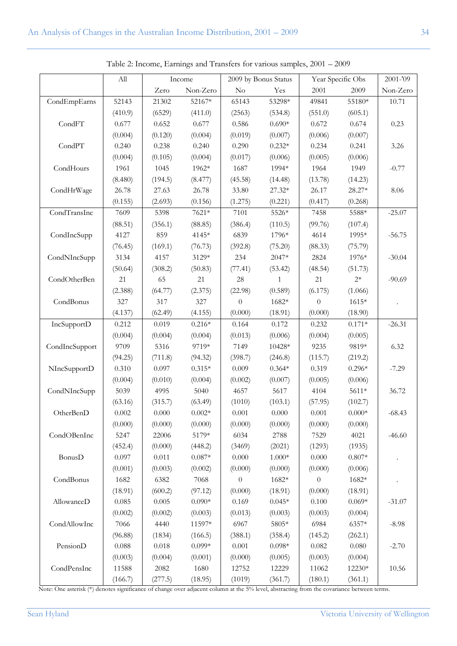|                | ${\rm All}$ | Income  |                  | 2009 by Bonus Status |                     | Year Specific Obs |          | 2001-'09 |
|----------------|-------------|---------|------------------|----------------------|---------------------|-------------------|----------|----------|
|                |             | Zero    | Non-Zero         | Yes<br>$\rm No$      |                     | 2001<br>2009      |          | Non-Zero |
| CondEmpEarns   | 52143       | 21302   | 52167*           | 65143                | 53298*              | 49841             | 55180*   | 10.71    |
|                | (410.9)     | (6529)  | (411.0)          | (2563)               | (534.8)             | (551.0)           | (605.1)  |          |
| CondFT         | 0.677       | 0.652   | 0.677            | 0.586                | $0.690*$            | 0.672             | 0.674    | 0.23     |
|                | (0.004)     | (0.120) | (0.004)          | (0.019)              | (0.007)             | (0.006)           | (0.007)  |          |
| CondPT         | 0.240       | 0.238   | 0.240            | 0.290                | $0.232*$            | 0.234             | 0.241    | 3.26     |
|                | (0.004)     | (0.105) | (0.004)          | (0.017)              | (0.006)             | (0.005)           | (0.006)  |          |
| CondHours      | 1961        | 1045    | 1962*            | 1687                 | 1994*               | 1964              | 1949     | $-0.77$  |
|                | (8.480)     | (194.5) |                  | (45.58)              |                     | (13.78)           | (14.23)  |          |
|                | 26.78       |         | (8.477)<br>26.78 | 33.80                | (14.48)<br>$27.32*$ |                   | $28.27*$ |          |
| CondHrWage     |             | 27.63   |                  |                      |                     | 26.17             |          | 8.06     |
|                | (0.155)     | (2.693) | (0.156)          | (1.275)              | (0.221)             | (0.417)           | (0.268)  |          |
| CondTransInc   | 7609        | 5398    | 7621*            | 7101                 | 5526*               | 7458              | 5588*    | $-25.07$ |
|                | (88.51)     | (356.1) | (88.85)          | (386.4)              | (110.5)             | (99.76)           | (107.4)  |          |
| CondIncSupp    | 4127        | 859     | 4145*            | 6839                 | 1796*               | 4614              | 1995*    | $-56.75$ |
|                | (76.45)     | (169.1) | (76.73)          | (392.8)              | (75.20)             | (88.33)           | (75.79)  |          |
| CondNIncSupp   | 3134        | 4157    | 3129*            | 234                  | $2047*$             | 2824              | 1976*    | $-30.04$ |
|                | (50.64)     | (308.2) | (50.83)          | (77.41)              | (53.42)             | (48.54)           | (51.73)  |          |
| CondOtherBen   | 21          | 65      | 21               | 28                   | $\mathbf{1}$        | 21                | $2^*$    | $-90.69$ |
|                | (2.388)     | (64.77) | (2.375)          | (22.98)              | (0.589)             | (6.175)           | (1.066)  |          |
| CondBonus      | 327         | 317     | 327              | $\theta$             | 1682*               | $\overline{0}$    | $1615*$  |          |
|                | (4.137)     | (62.49) | (4.155)          | (0.000)              | (18.91)             | (0.000)           | (18.90)  |          |
| IncSupportD    | 0.212       | 0.019   | $0.216*$         | 0.164                | 0.172               | 0.232             | $0.171*$ | $-26.31$ |
|                | (0.004)     | (0.004) | (0.004)          | (0.013)              | (0.006)             | (0.004)           | (0.005)  |          |
| CondIncSupport | 9709        | 5316    | 9719*            | 7149                 | 10428*              | 9235              | 9819*    | 6.32     |
|                | (94.25)     | (711.8) | (94.32)          | (398.7)              | (246.8)             | (115.7)           | (219.2)  |          |
| NIncSupportD   | 0.310       | 0.097   | $0.315*$         | 0.009                | $0.364*$            | 0.319             | $0.296*$ | $-7.29$  |
|                | (0.004)     | (0.010) | (0.004)          | (0.002)              | (0.007)             | (0.005)           | (0.006)  |          |
| CondNIncSupp   | 5039        | 4995    | 5040             | 4657                 | 5617                | 4104              | $5611*$  | 36.72    |
|                | (63.16)     | (315.7) | (63.49)          | (1010)               | (103.1)             | (57.95)           | (102.7)  |          |
| OtherBenD      | 0.002       | 0.000   | $0.002*$         | 0.001                | 0.000               | 0.001             | $0.000*$ | $-68.43$ |
|                | (0.000)     | (0.000) | (0.000)          | (0.000)              | (0.000)             | (0.000)           | (0.000)  |          |
| CondOBenInc    | 5247        | 22006   | 5179*            | 6034                 | 2788                | 7529              | 4021     | $-46.60$ |
|                | (452.4)     | (0.000) | (448.2)          | (3469)               | (2021)              | (1293)            | (1935)   |          |
| BonusD         | 0.097       | 0.011   | $0.087*$         | 0.000                | $1.000*$            | 0.000             | $0.807*$ |          |
|                | (0.001)     | (0.003) | (0.002)          | (0.000)              | (0.000)             | (0.000)           | (0.006)  |          |
| CondBonus      | 1682        | 6382    | 7068             | $\boldsymbol{0}$     | 1682*               | $\theta$          | 1682*    |          |
|                | (18.91)     | (600.2) | (97.12)          | (0.000)              | (18.91)             | (0.000)           | (18.91)  |          |
| AllowanceD     | 0.085       | 0.005   | $0.090*$         | 0.169                | $0.045*$            | 0.100             | $0.069*$ | $-31.07$ |
|                | (0.002)     | (0.002) | (0.003)          | (0.013)              | (0.003)             | (0.003)           | (0.004)  |          |
| CondAllowInc   | 7066        | 4440    | 11597*           | 6967                 | $5805*$             | 6984              | 6357*    | $-8.98$  |
|                | (96.88)     | (1834)  | (166.5)          | (388.1)              | (358.4)             | (145.2)           | (262.1)  |          |
| PensionD       | 0.088       | 0.018   | $0.099*$         | 0.001                | $0.098*$            | 0.082             | 0.080    | $-2.70$  |
|                | (0.003)     | (0.004) | (0.001)          | (0.000)              | (0.005)             | (0.003)           | (0.004)  |          |
| CondPensInc    | 11588       | 2082    | 1680             | 12752                | 12229               | 11062             | 12230*   | 10.56    |
|                | (166.7)     | (277.5) | (18.95)          | (1019)               | (361.7)             | (180.1)           | (361.1)  |          |

Table 2: Income, Earnings and Transfers for various samples, 2001 – 2009

Note: One asterisk (\*) denotes significance of change over adjacent column at the 5% level, abstracting from the covariance between terms.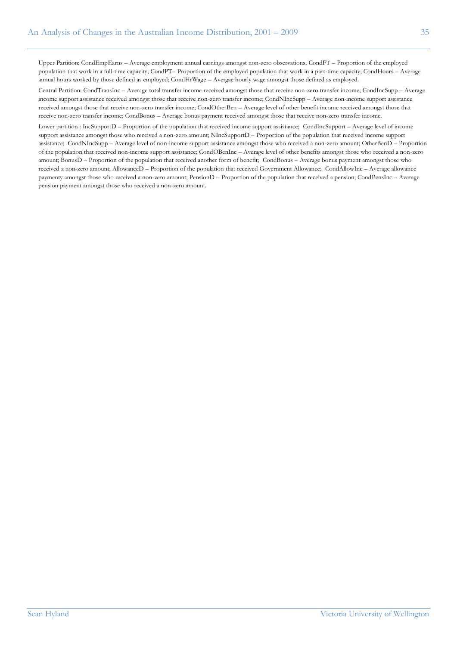Upper Partition: CondEmpEarns – Average employment annual earnings amongst non-zero observations; CondFT – Proportion of the employed population that work in a full-time capacity; CondPT– Proportion of the employed population that work in a part-time capacity; CondHours – Average annual hours worked by those defined as employed; CondHrWage – Avergae hourly wage amongst those defined as employed.

Central Partition: CondTransInc – Average total transfer income received amongst those that receive non-zero transfer income; CondIncSupp – Average income support assistance received amongst those that receive non-zero transfer income; CondNIncSupp – Average non-income support assistance received amongst those that receive non-zero transfer income; CondOtherBen – Average level of other benefit income received amongst those that receive non-zero transfer income; CondBonus – Average bonus payment received amongst those that receive non-zero transfer income.

Lower partition : IncSupportD – Proportion of the population that received income support assistance; CondIncSupport – Average level of income support assistance amongst those who received a non-zero amount; NIncSupportD – Proportion of the population that received income support assistance; CondNIncSupp – Average level of non-income support assistance amongst those who received a non-zero amount; OtherBenD – Proportion of the population that received non-income support assistance; CondOBenInc – Average level of other benefits amongst those who received a non-zero amount; BonusD – Proportion of the population that received another form of benefit; CondBonus – Average bonus payment amongst those who received a non-zero amount; AllowanceD – Proportion of the population that received Government Allowance; CondAllowInc – Average allowance paymenty amongst those who received a non-zero amount; PensionD – Proportion of the population that received a pension; CondPensInc – Average pension payment amongst those who received a non-zero amount.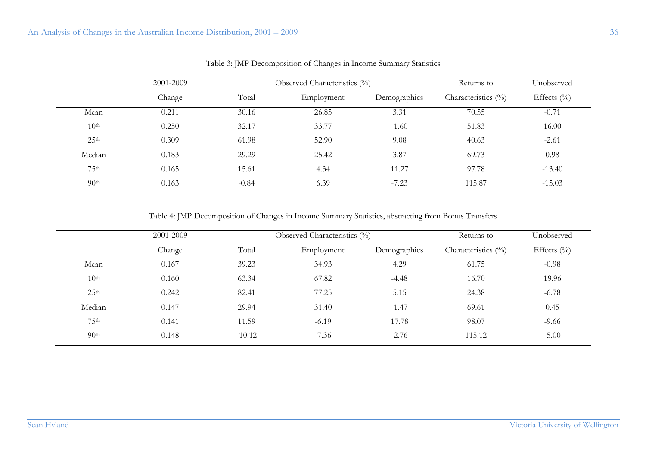|                  | 2001-2009 |         | Observed Characteristics (%) | Returns to   | Unobserved             |                |  |
|------------------|-----------|---------|------------------------------|--------------|------------------------|----------------|--|
|                  | Change    | Total   | Employment                   | Demographics | Characteristics $(\%)$ | Effects $(\%)$ |  |
| Mean             | 0.211     | 30.16   | 26.85                        | 3.31         | 70.55                  | $-0.71$        |  |
| 10 <sup>th</sup> | 0.250     | 32.17   | 33.77                        | $-1.60$      | 51.83                  | 16.00          |  |
| 25 <sup>th</sup> | 0.309     | 61.98   | 52.90                        | 9.08         | 40.63                  | $-2.61$        |  |
| Median           | 0.183     | 29.29   | 25.42                        | 3.87         | 69.73                  | 0.98           |  |
| 75 <sup>th</sup> | 0.165     | 15.61   | 4.34                         | 11.27        | 97.78                  | $-13.40$       |  |
| 90 <sup>th</sup> | 0.163     | $-0.84$ | 6.39                         | $-7.23$      | 115.87                 | $-15.03$       |  |

Table 3: JMP Decomposition of Changes in Income Summary Statistics

Table 4: JMP Decomposition of Changes in Income Summary Statistics, abstracting from Bonus Transfers

|                  | 2001-2009 |                     | Observed Characteristics $(\%)$ | Returns to   | Unobserved             |                |  |
|------------------|-----------|---------------------|---------------------------------|--------------|------------------------|----------------|--|
|                  | Change    | Total<br>Employment |                                 | Demographics | Characteristics $(\%)$ | Effects $(\%)$ |  |
| Mean             | 0.167     | 39.23               | 34.93                           | 4.29         | 61.75                  | $-0.98$        |  |
| 10 <sup>th</sup> | 0.160     | 63.34               | 67.82                           | $-4.48$      | 16.70                  | 19.96          |  |
| 25 <sup>th</sup> | 0.242     | 82.41               | 77.25                           | 5.15         | 24.38                  | $-6.78$        |  |
| Median           | 0.147     | 29.94               | 31.40                           | $-1.47$      | 69.61                  | 0.45           |  |
| 75 <sup>th</sup> | 0.141     | 11.59               | $-6.19$                         | 17.78        | 98.07                  | $-9.66$        |  |
| 90 <sup>th</sup> | 0.148     | $-10.12$            | $-7.36$                         | $-2.76$      | 115.12                 | $-5.00$        |  |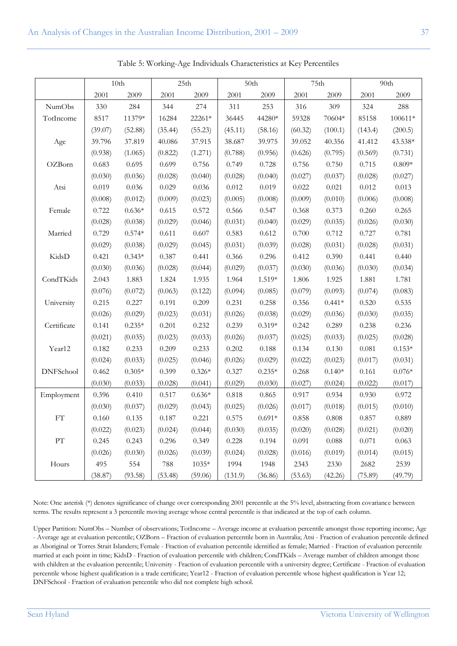|                  | 10 <sub>th</sub> |          | 25th    |          | 50th    |          | 75th    |          | 90th    |          |
|------------------|------------------|----------|---------|----------|---------|----------|---------|----------|---------|----------|
|                  | 2001             | 2009     | 2001    | 2009     | 2001    | 2009     | 2001    | 2009     | 2001    | 2009     |
| <b>NumObs</b>    | 330              | 284      | 344     | 274      | 311     | 253      | 316     | 309      | 324     | 288      |
| TotIncome        | 8517             | 11379*   | 16284   | 22261*   | 36445   | 44280*   | 59328   | 70604*   | 85158   | 100611*  |
|                  | (39.07)          | (52.88)  | (35.44) | (55.23)  | (45.11) | (58.16)  | (60.32) | (100.1)  | (143.4) | (200.5)  |
| Age              | 39.796           | 37.819   | 40.086  | 37.915   | 38.687  | 39.975   | 39.052  | 40.356   | 41.412  | 43.538*  |
|                  | (0.938)          | (1.065)  | (0.822) | (1.271)  | (0.788) | (0.956)  | (0.626) | (0.795)  | (0.569) | (0.731)  |
| OZBorn           | 0.683            | 0.695    | 0.699   | 0.756    | 0.749   | 0.728    | 0.756   | 0.750    | 0.715   | $0.809*$ |
|                  | (0.030)          | (0.036)  | (0.028) | (0.040)  | (0.028) | (0.040)  | (0.027) | (0.037)  | (0.028) | (0.027)  |
| Atsi             | 0.019            | 0.036    | 0.029   | 0.036    | 0.012   | 0.019    | 0.022   | 0.021    | 0.012   | 0.013    |
|                  | (0.008)          | (0.012)  | (0.009) | (0.023)  | (0.005) | (0.008)  | (0.009) | (0.010)  | (0.006) | (0.008)  |
| Female           | 0.722            | $0.636*$ | 0.615   | 0.572    | 0.566   | 0.547    | 0.368   | 0.373    | 0.260   | 0.265    |
|                  | (0.028)          | (0.038)  | (0.029) | (0.046)  | (0.031) | (0.040)  | (0.029) | (0.035)  | (0.026) | (0.030)  |
| Married          | 0.729            | $0.574*$ | 0.611   | 0.607    | 0.583   | 0.612    | 0.700   | 0.712    | 0.727   | 0.781    |
|                  | (0.029)          | (0.038)  | (0.029) | (0.045)  | (0.031) | (0.039)  | (0.028) | (0.031)  | (0.028) | (0.031)  |
| KidsD            | 0.421            | $0.343*$ | 0.387   | 0.441    | 0.366   | 0.296    | 0.412   | 0.390    | 0.441   | 0.440    |
|                  | (0.030)          | (0.036)  | (0.028) | (0.044)  | (0.029) | (0.037)  | (0.030) | (0.036)  | (0.030) | (0.034)  |
| CondTKids        | 2.043            | 1.883    | 1.824   | 1.935    | 1.964   | 1.519*   | 1.806   | 1.925    | 1.881   | 1.781    |
|                  | (0.076)          | (0.072)  | (0.063) | (0.122)  | (0.094) | (0.085)  | (0.079) | (0.093)  | (0.074) | (0.083)  |
| University       | 0.215            | 0.227    | 0.191   | 0.209    | 0.231   | 0.258    | 0.356   | $0.441*$ | 0.520   | 0.535    |
|                  | (0.026)          | (0.029)  | (0.023) | (0.031)  | (0.026) | (0.038)  | (0.029) | (0.036)  | (0.030) | (0.035)  |
| Certificate      | 0.141            | $0.235*$ | 0.201   | 0.232    | 0.239   | $0.319*$ | 0.242   | 0.289    | 0.238   | 0.236    |
|                  | (0.021)          | (0.035)  | (0.023) | (0.033)  | (0.026) | (0.037)  | (0.025) | (0.033)  | (0.025) | (0.028)  |
| Year12           | 0.182            | 0.233    | 0.209   | 0.233    | 0.202   | 0.188    | 0.134   | 0.130    | 0.081   | $0.153*$ |
|                  | (0.024)          | (0.033)  | (0.025) | (0.046)  | (0.026) | (0.029)  | (0.022) | (0.023)  | (0.017) | (0.031)  |
| <b>DNFSchool</b> | 0.462            | $0.305*$ | 0.399   | $0.326*$ | 0.327   | $0.235*$ | 0.268   | $0.140*$ | 0.161   | $0.076*$ |
|                  | (0.030)          | (0.033)  | (0.028) | (0.041)  | (0.029) | (0.030)  | (0.027) | (0.024)  | (0.022) | (0.017)  |
| Employment       | 0.396            | 0.410    | 0.517   | $0.636*$ | 0.818   | 0.865    | 0.917   | 0.934    | 0.930   | 0.972    |
|                  | (0.030)          | (0.037)  | (0.029) | (0.043)  | (0.025) | (0.026)  | (0.017) | (0.018)  | (0.015) | (0.010)  |
| FT               | 0.160            | 0.135    | 0.187   | 0.221    | 0.575   | $0.691*$ | 0.858   | 0.808    | 0.857   | 0.889    |
|                  | (0.022)          | (0.023)  | (0.024) | (0.044)  | (0.030) | (0.035)  | (0.020) | (0.028)  | (0.021) | (0.020)  |
| ${\cal PT}$      | 0.245            | 0.243    | 0.296   | 0.349    | 0.228   | 0.194    | 0.091   | 0.088    | 0.071   | 0.063    |
|                  | (0.026)          | (0.030)  | (0.026) | (0.039)  | (0.024) | (0.028)  | (0.016) | (0.019)  | (0.014) | (0.015)  |
| Hours            | 495              | 554      | 788     | $1035*$  | 1994    | 1948     | 2343    | 2330     | 2682    | 2539     |
|                  | (38.87)          | (93.58)  | (53.48) | (59.06)  | (131.9) | (36.86)  | (53.63) | (42.26)  | (75.89) | (49.79)  |

Table 5: Working-Age Individuals Characteristics at Key Percentiles

Note: One asterisk (\*) denotes significance of change over corresponding 2001 percentile at the 5% level, abstracting from covariance between terms. The results represent a 3 percentile moving average whose central percentile is that indicated at the top of each column.

Upper Partition: NumObs – Number of observations; TotIncome – Average income at evaluation percentile amongst those reporting income; Age - Average age at evaluation percentile; OZBorn – Fraction of evaluation percentile born in Australia; Atsi - Fraction of evaluation percentile defined as Aboriginal or Torres Strait Islanders; Female - Fraction of evaluation percentile identified as female; Married - Fraction of evaluation percentile married at each point in time; KidsD - Fraction of evaluation percentile with children; CondTKids – Average number of children amongst those with children at the evaluation percentile; University - Fraction of evaluation percentile with a university degree; Certificate - Fraction of evaluation percentile whose highest qualification is a trade certificate; Year12 - Fraction of evaluation percentile whose highest qualification is Year 12; DNFSchool - Fraction of evaluation percentile who did not complete high school.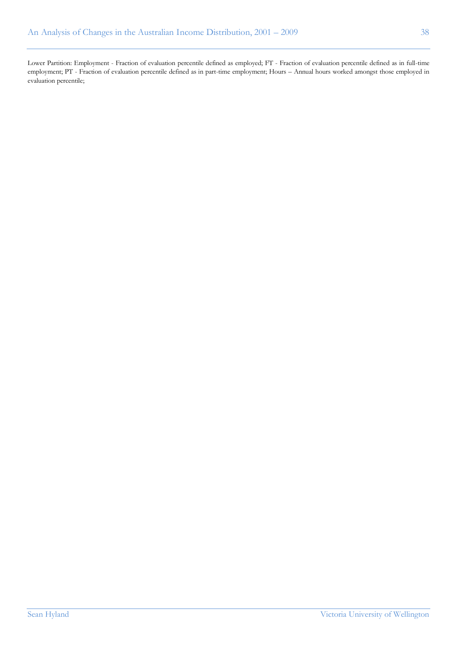Lower Partition: Employment - Fraction of evaluation percentile defined as employed; FT - Fraction of evaluation percentile defined as in full-time employment; PT - Fraction of evaluation percentile defined as in part-time employment; Hours – Annual hours worked amongst those employed in evaluation percentile;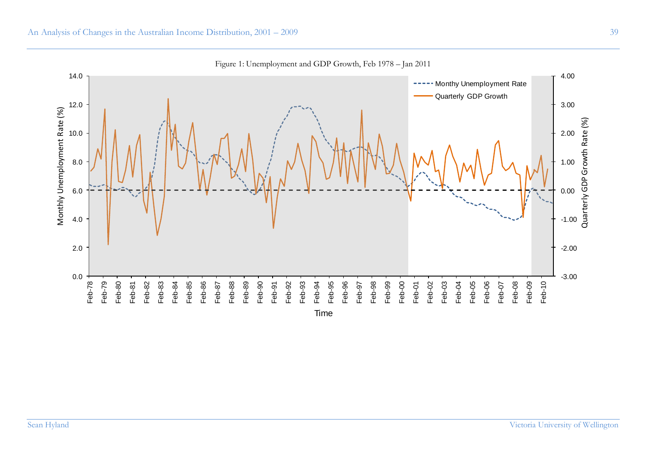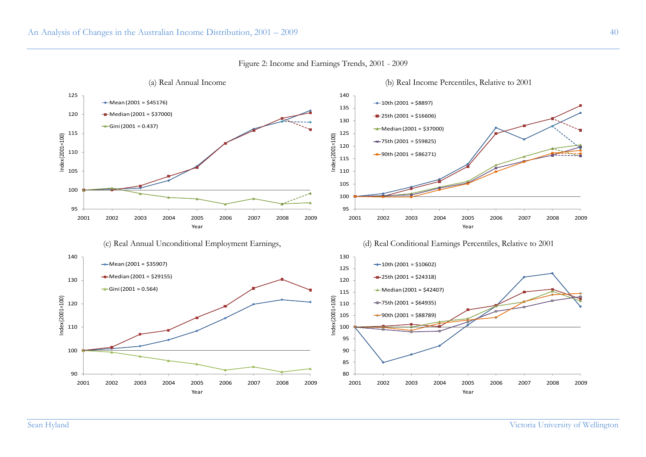

Figure 2: Income and Earnings Trends, 2001 - 2009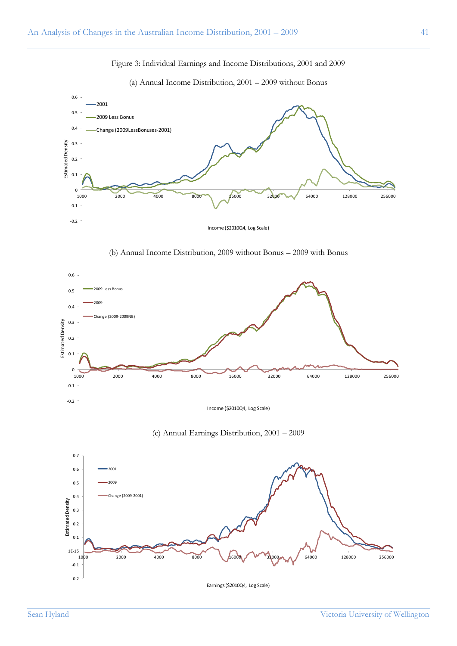# Figure 3: Individual Earnings and Income Distributions, 2001 and 2009



(a) Annual Income Distribution, 2001 – 2009 without Bonus

(b) Annual Income Distribution, 2009 without Bonus – 2009 with Bonus



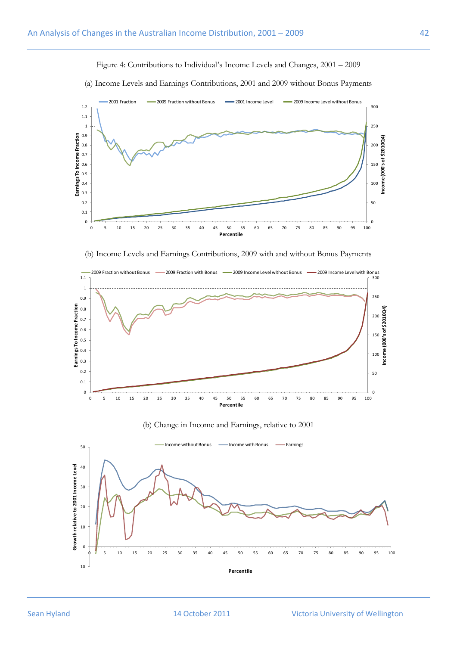(a) Income Levels and Earnings Contributions, 2001 and 2009 without Bonus Payments  $\frac{1}{100}$ 10<br>5 0<br>5 0  $\frac{10}{10}$   $\frac{10}{100}$   $\frac{10}{1000}$  s of \$2010Q4) 150 200 250 300  $0 +$ 0.1 0.2 0.3 0.4 0.5 0.6 0.7 0.8 0.9 1 1.1 1.2 <sup>0</sup> <sup>5</sup> 1 0 1 5 2 0 2 5 3 0 3 5 4 0 4 5 5 0 5 5 6 0 6 5 7 0 7 5 8 0 8 5 9 0 9 5 <sup>100</sup> **Income (000's of \$2010Q4) Earnings To Income Fraction** 2001 Fraction - 2009 Fraction without Bonus - 2001 Income Level - 2009 Income Level without Bonus

Figure 4: Contributions to Individual"s Income Levels and Changes, 2001 – 2009



**Percentile**